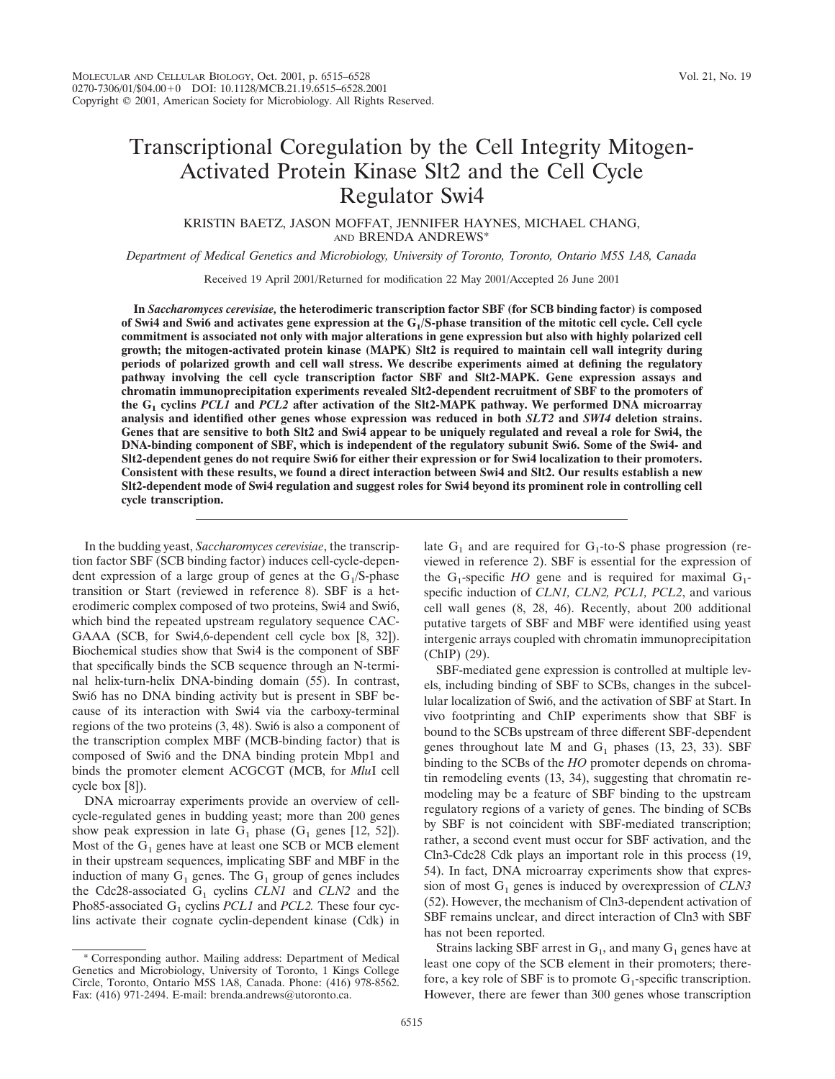### Transcriptional Coregulation by the Cell Integrity Mitogen-Activated Protein Kinase Slt2 and the Cell Cycle Regulator Swi4

KRISTIN BAETZ, JASON MOFFAT, JENNIFER HAYNES, MICHAEL CHANG, AND BRENDA ANDREWS\*

*Department of Medical Genetics and Microbiology, University of Toronto, Toronto, Ontario M5S 1A8, Canada*

Received 19 April 2001/Returned for modification 22 May 2001/Accepted 26 June 2001

**In** *Saccharomyces cerevisiae,* **the heterodimeric transcription factor SBF (for SCB binding factor) is composed** of Swi4 and Swi6 and activates gene expression at the G<sub>1</sub>/S-phase transition of the mitotic cell cycle. Cell cycle **commitment is associated not only with major alterations in gene expression but also with highly polarized cell growth; the mitogen-activated protein kinase (MAPK) Slt2 is required to maintain cell wall integrity during periods of polarized growth and cell wall stress. We describe experiments aimed at defining the regulatory pathway involving the cell cycle transcription factor SBF and Slt2-MAPK. Gene expression assays and chromatin immunoprecipitation experiments revealed Slt2-dependent recruitment of SBF to the promoters of the G1 cyclins** *PCL1* **and** *PCL2* **after activation of the Slt2-MAPK pathway. We performed DNA microarray analysis and identified other genes whose expression was reduced in both** *SLT2* **and** *SWI4* **deletion strains. Genes that are sensitive to both Slt2 and Swi4 appear to be uniquely regulated and reveal a role for Swi4, the DNA-binding component of SBF, which is independent of the regulatory subunit Swi6. Some of the Swi4- and Slt2-dependent genes do not require Swi6 for either their expression or for Swi4 localization to their promoters. Consistent with these results, we found a direct interaction between Swi4 and Slt2. Our results establish a new Slt2-dependent mode of Swi4 regulation and suggest roles for Swi4 beyond its prominent role in controlling cell cycle transcription.**

In the budding yeast, *Saccharomyces cerevisiae*, the transcription factor SBF (SCB binding factor) induces cell-cycle-dependent expression of a large group of genes at the  $G_1/S$ -phase transition or Start (reviewed in reference 8). SBF is a heterodimeric complex composed of two proteins, Swi4 and Swi6, which bind the repeated upstream regulatory sequence CAC-GAAA (SCB, for Swi4,6-dependent cell cycle box [8, 32]). Biochemical studies show that Swi4 is the component of SBF that specifically binds the SCB sequence through an N-terminal helix-turn-helix DNA-binding domain (55). In contrast, Swi6 has no DNA binding activity but is present in SBF because of its interaction with Swi4 via the carboxy-terminal regions of the two proteins (3, 48). Swi6 is also a component of the transcription complex MBF (MCB-binding factor) that is composed of Swi6 and the DNA binding protein Mbp1 and binds the promoter element ACGCGT (MCB, for *Mlu*I cell cycle box [8]).

DNA microarray experiments provide an overview of cellcycle-regulated genes in budding yeast; more than 200 genes show peak expression in late  $G_1$  phase ( $G_1$  genes [12, 52]). Most of the  $G_1$  genes have at least one SCB or MCB element in their upstream sequences, implicating SBF and MBF in the induction of many  $G_1$  genes. The  $G_1$  group of genes includes the Cdc28-associated  $G_1$  cyclins *CLN1* and *CLN2* and the Pho85-associated G<sub>1</sub> cyclins *PCL1* and *PCL2*. These four cyclins activate their cognate cyclin-dependent kinase (Cdk) in late  $G_1$  and are required for  $G_1$ -to-S phase progression (reviewed in reference 2). SBF is essential for the expression of the  $G_1$ -specific *HO* gene and is required for maximal  $G_1$ specific induction of *CLN1, CLN2, PCL1, PCL2*, and various cell wall genes (8, 28, 46). Recently, about 200 additional putative targets of SBF and MBF were identified using yeast intergenic arrays coupled with chromatin immunoprecipitation (ChIP) (29).

SBF-mediated gene expression is controlled at multiple levels, including binding of SBF to SCBs, changes in the subcellular localization of Swi6, and the activation of SBF at Start. In vivo footprinting and ChIP experiments show that SBF is bound to the SCBs upstream of three different SBF-dependent genes throughout late M and  $G_1$  phases (13, 23, 33). SBF binding to the SCBs of the *HO* promoter depends on chromatin remodeling events (13, 34), suggesting that chromatin remodeling may be a feature of SBF binding to the upstream regulatory regions of a variety of genes. The binding of SCBs by SBF is not coincident with SBF-mediated transcription; rather, a second event must occur for SBF activation, and the Cln3-Cdc28 Cdk plays an important role in this process (19, 54). In fact, DNA microarray experiments show that expression of most G<sub>1</sub> genes is induced by overexpression of *CLN3* (52). However, the mechanism of Cln3-dependent activation of SBF remains unclear, and direct interaction of Cln3 with SBF has not been reported.

Strains lacking SBF arrest in  $G_1$ , and many  $G_1$  genes have at least one copy of the SCB element in their promoters; therefore, a key role of SBF is to promote  $G_1$ -specific transcription. However, there are fewer than 300 genes whose transcription

<sup>\*</sup> Corresponding author. Mailing address: Department of Medical Genetics and Microbiology, University of Toronto, 1 Kings College Circle, Toronto, Ontario M5S 1A8, Canada. Phone: (416) 978-8562. Fax: (416) 971-2494. E-mail: brenda.andrews@utoronto.ca.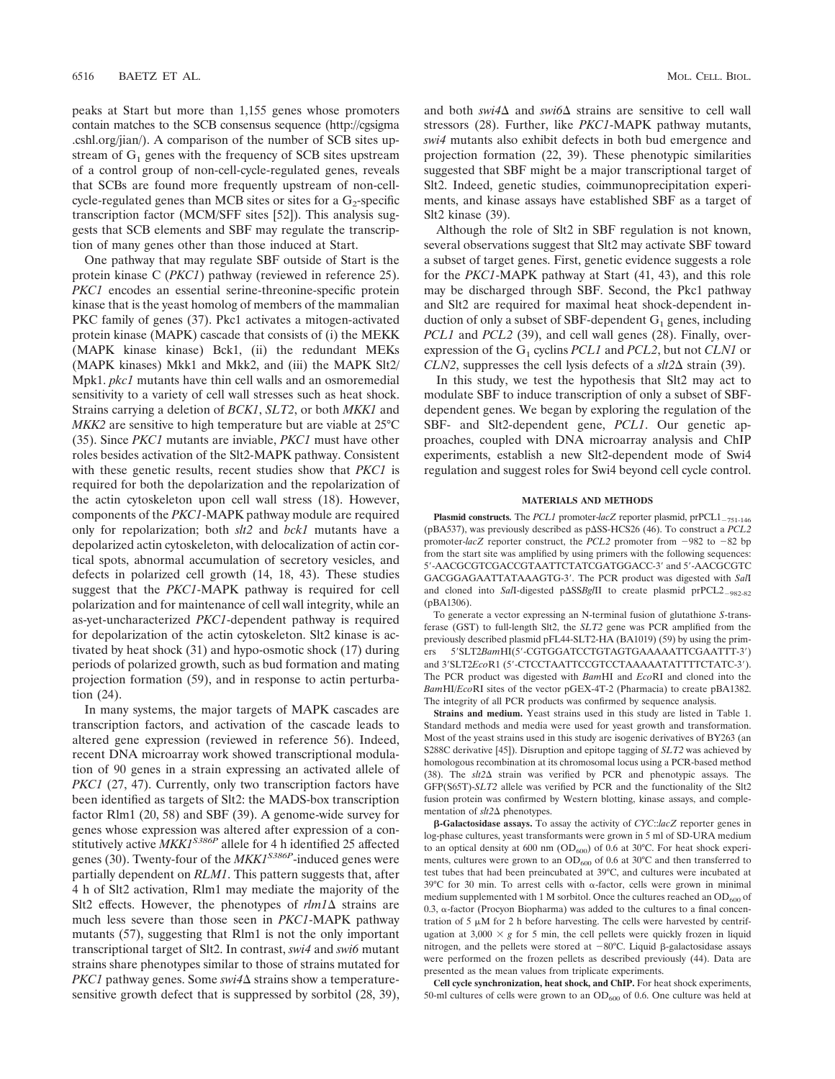peaks at Start but more than 1,155 genes whose promoters contain matches to the SCB consensus sequence (http://cgsigma .cshl.org/jian/). A comparison of the number of SCB sites upstream of  $G_1$  genes with the frequency of SCB sites upstream of a control group of non-cell-cycle-regulated genes, reveals that SCBs are found more frequently upstream of non-cellcycle-regulated genes than MCB sites or sites for a  $G_2$ -specific transcription factor (MCM/SFF sites [52]). This analysis suggests that SCB elements and SBF may regulate the transcription of many genes other than those induced at Start.

One pathway that may regulate SBF outside of Start is the protein kinase C (*PKC1*) pathway (reviewed in reference 25). *PKC1* encodes an essential serine-threonine-specific protein kinase that is the yeast homolog of members of the mammalian PKC family of genes (37). Pkc1 activates a mitogen-activated protein kinase (MAPK) cascade that consists of (i) the MEKK (MAPK kinase kinase) Bck1, (ii) the redundant MEKs (MAPK kinases) Mkk1 and Mkk2, and (iii) the MAPK Slt2/ Mpk1. *pkc1* mutants have thin cell walls and an osmoremedial sensitivity to a variety of cell wall stresses such as heat shock. Strains carrying a deletion of *BCK1*, *SLT2*, or both *MKK1* and *MKK2* are sensitive to high temperature but are viable at 25°C (35). Since *PKC1* mutants are inviable, *PKC1* must have other roles besides activation of the Slt2-MAPK pathway. Consistent with these genetic results, recent studies show that *PKC1* is required for both the depolarization and the repolarization of the actin cytoskeleton upon cell wall stress (18). However, components of the *PKC1*-MAPK pathway module are required only for repolarization; both *slt2* and *bck1* mutants have a depolarized actin cytoskeleton, with delocalization of actin cortical spots, abnormal accumulation of secretory vesicles, and defects in polarized cell growth (14, 18, 43). These studies suggest that the *PKC1*-MAPK pathway is required for cell polarization and for maintenance of cell wall integrity, while an as-yet-uncharacterized *PKC1*-dependent pathway is required for depolarization of the actin cytoskeleton. Slt2 kinase is activated by heat shock (31) and hypo-osmotic shock (17) during periods of polarized growth, such as bud formation and mating projection formation (59), and in response to actin perturbation (24).

In many systems, the major targets of MAPK cascades are transcription factors, and activation of the cascade leads to altered gene expression (reviewed in reference 56). Indeed, recent DNA microarray work showed transcriptional modulation of 90 genes in a strain expressing an activated allele of *PKC1* (27, 47). Currently, only two transcription factors have been identified as targets of Slt2: the MADS-box transcription factor Rlm1 (20, 58) and SBF (39). A genome-wide survey for genes whose expression was altered after expression of a constitutively active *MKK1S386P* allele for 4 h identified 25 affected genes (30). Twenty-four of the *MKK1S386P*-induced genes were partially dependent on *RLM1*. This pattern suggests that, after 4 h of Slt2 activation, Rlm1 may mediate the majority of the Slt2 effects. However, the phenotypes of  $rlm1\Delta$  strains are much less severe than those seen in *PKC1*-MAPK pathway mutants (57), suggesting that Rlm1 is not the only important transcriptional target of Slt2. In contrast, *swi4* and *swi6* mutant strains share phenotypes similar to those of strains mutated for  $PKC1$  pathway genes. Some  $swi4\Delta$  strains show a temperaturesensitive growth defect that is suppressed by sorbitol (28, 39),

and both  $swi4\Delta$  and  $swi6\Delta$  strains are sensitive to cell wall stressors (28). Further, like *PKC1*-MAPK pathway mutants, *swi4* mutants also exhibit defects in both bud emergence and projection formation (22, 39). These phenotypic similarities suggested that SBF might be a major transcriptional target of Slt2. Indeed, genetic studies, coimmunoprecipitation experiments, and kinase assays have established SBF as a target of Slt2 kinase (39).

Although the role of Slt2 in SBF regulation is not known, several observations suggest that Slt2 may activate SBF toward a subset of target genes. First, genetic evidence suggests a role for the *PKC1*-MAPK pathway at Start (41, 43), and this role may be discharged through SBF. Second, the Pkc1 pathway and Slt2 are required for maximal heat shock-dependent induction of only a subset of SBF-dependent  $G_1$  genes, including *PCL1* and *PCL2* (39), and cell wall genes (28). Finally, overexpression of the G<sub>1</sub> cyclins *PCL1* and *PCL2*, but not *CLN1* or *CLN2*, suppresses the cell lysis defects of a  $\text{slt2}\Delta$  strain (39).

In this study, we test the hypothesis that Slt2 may act to modulate SBF to induce transcription of only a subset of SBFdependent genes. We began by exploring the regulation of the SBF- and Slt2-dependent gene, *PCL1*. Our genetic approaches, coupled with DNA microarray analysis and ChIP experiments, establish a new Slt2-dependent mode of Swi4 regulation and suggest roles for Swi4 beyond cell cycle control.

### **MATERIALS AND METHODS**

**Plasmid constructs.** The *PCL1* promoter-*lacZ* reporter plasmid, prPCL1<sub>-751-146</sub> (pBA537), was previously described as p $\Delta$ SS-HCS26 (46). To construct a *PCL2* promoter- $lacZ$  reporter construct, the *PCL2* promoter from  $-982$  to  $-82$  bp from the start site was amplified by using primers with the following sequences: 5-AACGCGTCGACCGTAATTCTATCGATGGACC-3 and 5-AACGCGTC GACGGAGAATTATAAAGTG-3. The PCR product was digested with *Sal*I and cloned into SalI-digested p $\Delta$ SSBglII to create plasmid prPCL2<sub>-982-82</sub> (pBA1306).

To generate a vector expressing an N-terminal fusion of glutathione *S*-transferase (GST) to full-length Slt2, the *SLT2* gene was PCR amplified from the previously described plasmid pFL44-SLT2-HA (BA1019) (59) by using the primers 5'SLT2*BamHI(5'-CGTGGATCCTGTAGTGAAAAATTCGAATTT-3'*) and 3'SLT2*EcoR1* (5'-CTCCTAATTCCGTCCTAAAAATATTTTCTATC-3'). The PCR product was digested with *Bam*HI and *Eco*RI and cloned into the *Bam*HI/*Eco*RI sites of the vector pGEX-4T-2 (Pharmacia) to create pBA1382. The integrity of all PCR products was confirmed by sequence analysis.

**Strains and medium.** Yeast strains used in this study are listed in Table 1. Standard methods and media were used for yeast growth and transformation. Most of the yeast strains used in this study are isogenic derivatives of BY263 (an S288C derivative [45]). Disruption and epitope tagging of *SLT2* was achieved by homologous recombination at its chromosomal locus using a PCR-based method (38). The  $s\textit{lt2}\Delta$  strain was verified by PCR and phenotypic assays. The GFP(S65T)-*SLT2* allele was verified by PCR and the functionality of the Slt2 fusion protein was confirmed by Western blotting, kinase assays, and complementation of  $slt2\Delta$  phenotypes.

**-Galactosidase assays.** To assay the activity of *CYC*::*lacZ* reporter genes in log-phase cultures, yeast transformants were grown in 5 ml of SD-URA medium to an optical density at 600 nm ( $OD_{600}$ ) of 0.6 at 30°C. For heat shock experiments, cultures were grown to an  $OD<sub>600</sub>$  of 0.6 at 30°C and then transferred to test tubes that had been preincubated at 39°C, and cultures were incubated at 39°C for 30 min. To arrest cells with  $\alpha$ -factor, cells were grown in minimal medium supplemented with 1 M sorbitol. Once the cultures reached an  $OD<sub>600</sub>$  of  $0.3$ ,  $\alpha$ -factor (Procyon Biopharma) was added to the cultures to a final concentration of 5  $\mu$ M for 2 h before harvesting. The cells were harvested by centrifugation at  $3,000 \times g$  for 5 min, the cell pellets were quickly frozen in liquid nitrogen, and the pellets were stored at  $-80^{\circ}$ C. Liquid  $\beta$ -galactosidase assays were performed on the frozen pellets as described previously (44). Data are presented as the mean values from triplicate experiments.

**Cell cycle synchronization, heat shock, and ChIP.** For heat shock experiments, 50-ml cultures of cells were grown to an  $OD_{600}$  of 0.6. One culture was held at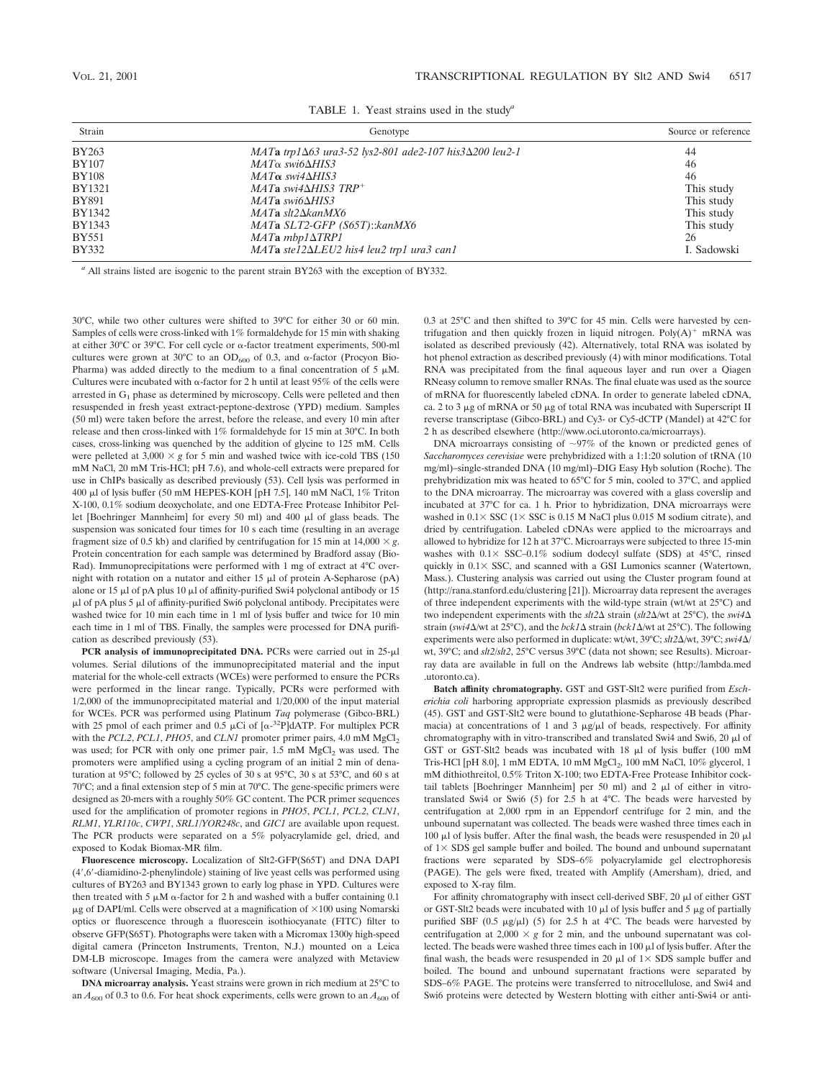| Strain        | Genotype                                                                   | Source or reference |
|---------------|----------------------------------------------------------------------------|---------------------|
| <b>BY263</b>  | $MATa$ trp1 $\Delta 63$ ura3-52 lys2-801 ade2-107 his3 $\Delta 200$ leu2-1 | 44                  |
| <b>BY107</b>  | $MAT\alpha$ swi6 $\Delta HIS3$                                             | 46                  |
| <b>BY108</b>  | $MAT\alpha$ swi4 $\Delta HIS3$                                             | 46                  |
| <b>BY1321</b> | $MATa$ swi4 $\Delta HIS3$ TRP <sup>+</sup>                                 | This study          |
| <b>BY891</b>  | $MATa$ swi6 $\Delta HIS3$                                                  | This study          |
| BY1342        | $MATa$ slt $2\Delta kanMX6$                                                | This study          |
| <b>BY1343</b> | MATa SLT2-GFP (S65T):: kanMX6                                              | This study          |
| <b>BY551</b>  | $MATAmbp1\Delta TRPI$                                                      | 26                  |
| <b>BY332</b>  | MATa ste12 $\Delta$ LEU2 his4 leu2 trp1 ura3 can1                          | I. Sadowski         |

TABLE 1. Yeast strains used in the study*<sup>a</sup>*

*<sup>a</sup>* All strains listed are isogenic to the parent strain BY263 with the exception of BY332.

30°C, while two other cultures were shifted to 39°C for either 30 or 60 min. Samples of cells were cross-linked with 1% formaldehyde for 15 min with shaking at either  $30^{\circ}$ C or  $39^{\circ}$ C. For cell cycle or  $\alpha$ -factor treatment experiments, 500-ml cultures were grown at 30°C to an  $OD_{600}$  of 0.3, and  $\alpha$ -factor (Procyon Bio-Pharma) was added directly to the medium to a final concentration of 5  $\mu$ M. Cultures were incubated with  $\alpha$ -factor for 2 h until at least 95% of the cells were arrested in  $G_1$  phase as determined by microscopy. Cells were pelleted and then resuspended in fresh yeast extract-peptone-dextrose (YPD) medium. Samples (50 ml) were taken before the arrest, before the release, and every 10 min after release and then cross-linked with 1% formaldehyde for 15 min at 30°C. In both cases, cross-linking was quenched by the addition of glycine to 125 mM. Cells were pelleted at  $3,000 \times g$  for 5 min and washed twice with ice-cold TBS (150) mM NaCl, 20 mM Tris-HCl; pH 7.6), and whole-cell extracts were prepared for use in ChIPs basically as described previously (53). Cell lysis was performed in 400 µl of lysis buffer (50 mM HEPES-KOH [pH 7.5], 140 mM NaCl, 1% Triton X-100, 0.1% sodium deoxycholate, and one EDTA-Free Protease Inhibitor Pellet [Boehringer Mannheim] for every 50 ml) and 400 µl of glass beads. The suspension was sonicated four times for 10 s each time (resulting in an average fragment size of 0.5 kb) and clarified by centrifugation for 15 min at  $14,000 \times g$ . Protein concentration for each sample was determined by Bradford assay (Bio-Rad). Immunoprecipitations were performed with 1 mg of extract at 4°C overnight with rotation on a nutator and either  $15 \mu l$  of protein A-Sepharose (pA) alone or 15  $\mu$ l of pA plus 10  $\mu$ l of affinity-purified Swi4 polyclonal antibody or 15  $\mu$ l of pA plus 5  $\mu$ l of affinity-purified Swi6 polyclonal antibody. Precipitates were washed twice for 10 min each time in 1 ml of lysis buffer and twice for 10 min each time in 1 ml of TBS. Finally, the samples were processed for DNA purification as described previously (53).

PCR analysis of immunoprecipitated DNA. PCRs were carried out in 25-µl volumes. Serial dilutions of the immunoprecipitated material and the input material for the whole-cell extracts (WCEs) were performed to ensure the PCRs were performed in the linear range. Typically, PCRs were performed with 1/2,000 of the immunoprecipitated material and 1/20,000 of the input material for WCEs. PCR was performed using Platinum *Taq* polymerase (Gibco-BRL) with 25 pmol of each primer and 0.5  $\mu$ Ci of  $[\alpha^{-32}P]$ dATP. For multiplex PCR with the  $PCL2$ ,  $PCL1$ ,  $PHO5$ , and  $CLNI$  promoter primer pairs, 4.0 mM  $MgCl<sub>2</sub>$ was used; for PCR with only one primer pair, 1.5 mM MgCl<sub>2</sub> was used. The promoters were amplified using a cycling program of an initial 2 min of denaturation at 95°C; followed by 25 cycles of 30 s at 95°C, 30 s at 53°C, and 60 s at 70°C; and a final extension step of 5 min at 70°C. The gene-specific primers were designed as 20-mers with a roughly 50% GC content. The PCR primer sequences used for the amplification of promoter regions in *PHO5*, *PCL1*, *PCL2*, *CLN1*, *RLM1*, *YLR110c*, *CWP1*, *SRL1*/*YOR248c*, and *GIC1* are available upon request. The PCR products were separated on a 5% polyacrylamide gel, dried, and exposed to Kodak Biomax-MR film.

**Fluorescence microscopy.** Localization of Slt2-GFP(S65T) and DNA DAPI (4,6-diamidino-2-phenylindole) staining of live yeast cells was performed using cultures of BY263 and BY1343 grown to early log phase in YPD. Cultures were then treated with 5  $\mu$ M  $\alpha$ -factor for 2 h and washed with a buffer containing 0.1  $\mu$ g of DAPI/ml. Cells were observed at a magnification of  $\times$ 100 using Nomarski optics or fluorescence through a fluorescein isothiocyanate (FITC) filter to observe GFP(S65T). Photographs were taken with a Micromax 1300y high-speed digital camera (Princeton Instruments, Trenton, N.J.) mounted on a Leica DM-LB microscope. Images from the camera were analyzed with Metaview software (Universal Imaging, Media, Pa.).

**DNA microarray analysis.** Yeast strains were grown in rich medium at 25°C to an  $A_{600}$  of 0.3 to 0.6. For heat shock experiments, cells were grown to an  $A_{600}$  of 0.3 at 25°C and then shifted to 39°C for 45 min. Cells were harvested by centrifugation and then quickly frozen in liquid nitrogen.  $Poly(A)^+$  mRNA was isolated as described previously (42). Alternatively, total RNA was isolated by hot phenol extraction as described previously (4) with minor modifications. Total RNA was precipitated from the final aqueous layer and run over a Qiagen RNeasy column to remove smaller RNAs. The final eluate was used as the source of mRNA for fluorescently labeled cDNA. In order to generate labeled cDNA, ca. 2 to 3  $\mu$ g of mRNA or 50  $\mu$ g of total RNA was incubated with Superscript II reverse transcriptase (Gibco-BRL) and Cy3- or Cy5-dCTP (Mandel) at 42°C for 2 h as described elsewhere (http://www.oci.utoronto.ca/microarrays).

DNA microarrays consisting of  $\sim$ 97% of the known or predicted genes of *Saccharomyces cerevisiae* were prehybridized with a 1:1:20 solution of tRNA (10 mg/ml)–single-stranded DNA (10 mg/ml)–DIG Easy Hyb solution (Roche). The prehybridization mix was heated to 65°C for 5 min, cooled to 37°C, and applied to the DNA microarray. The microarray was covered with a glass coverslip and incubated at 37°C for ca. 1 h. Prior to hybridization, DNA microarrays were washed in  $0.1 \times$  SSC ( $1 \times$  SSC is 0.15 M NaCl plus 0.015 M sodium citrate), and dried by centrifugation. Labeled cDNAs were applied to the microarrays and allowed to hybridize for 12 h at 37°C. Microarrays were subjected to three 15-min washes with  $0.1 \times$  SSC–0.1% sodium dodecyl sulfate (SDS) at 45°C, rinsed quickly in  $0.1 \times$  SSC, and scanned with a GSI Lumonics scanner (Watertown, Mass.). Clustering analysis was carried out using the Cluster program found at (http://rana.stanford.edu/clustering [21]). Microarray data represent the averages of three independent experiments with the wild-type strain (wt/wt at 25°C) and two independent experiments with the  $\frac{slt}{2\Delta}$  strain ( $\frac{slt}{2\Delta}$ /wt at  $25^{\circ}$ C), the  $\frac{swi4\Delta}{2\Delta}$ strain (*swi4* $\Delta$ /wt at 25°C), and the *bck1* $\Delta$  strain (*bck1* $\Delta$ /wt at 25°C). The following experiments were also performed in duplicate: wt/wt, 39°C; *slt2*Δ/wt, 39°C; *swi4*Δ/ wt, 39°C; and *slt2/slt2*, 25°C versus 39°C (data not shown; see Results). Microarray data are available in full on the Andrews lab website (http://lambda.med .utoronto.ca).

**Batch affinity chromatography.** GST and GST-Slt2 were purified from *Escherichia coli* harboring appropriate expression plasmids as previously described (45). GST and GST-Slt2 were bound to glutathione-Sepharose 4B beads (Pharmacia) at concentrations of 1 and 3  $\mu$ g/ $\mu$ l of beads, respectively. For affinity chromatography with in vitro-transcribed and translated Swi4 and Swi6, 20  $\mu$ l of GST or GST-Slt2 beads was incubated with 18  $\mu$ l of lysis buffer (100 mM Tris-HCl [pH 8.0], 1 mM EDTA, 10 mM MgCl<sub>2</sub>, 100 mM NaCl, 10% glycerol, 1 mM dithiothreitol, 0.5% Triton X-100; two EDTA-Free Protease Inhibitor cocktail tablets [Boehringer Mannheim] per 50 ml) and 2  $\mu$ l of either in vitrotranslated Swi4 or Swi6 (5) for 2.5 h at 4°C. The beads were harvested by centrifugation at 2,000 rpm in an Eppendorf centrifuge for 2 min, and the unbound supernatant was collected. The beads were washed three times each in  $100$  ul of lysis buffer. After the final wash, the beads were resuspended in 20 ul of  $1 \times$  SDS gel sample buffer and boiled. The bound and unbound supernatant fractions were separated by SDS–6% polyacrylamide gel electrophoresis (PAGE). The gels were fixed, treated with Amplify (Amersham), dried, and exposed to X-ray film.

For affinity chromatography with insect cell-derived SBF, 20  $\mu$ l of either GST or GST-Slt2 beads were incubated with 10  $\mu$ l of lysis buffer and 5  $\mu$ g of partially purified SBF (0.5  $\mu$ g/ $\mu$ l) (5) for 2.5 h at 4°C. The beads were harvested by centrifugation at  $2,000 \times g$  for 2 min, and the unbound supernatant was collected. The beads were washed three times each in  $100 \mu l$  of lysis buffer. After the final wash, the beads were resuspended in 20  $\mu$ l of 1  $\times$  SDS sample buffer and boiled. The bound and unbound supernatant fractions were separated by SDS–6% PAGE. The proteins were transferred to nitrocellulose, and Swi4 and Swi6 proteins were detected by Western blotting with either anti-Swi4 or anti-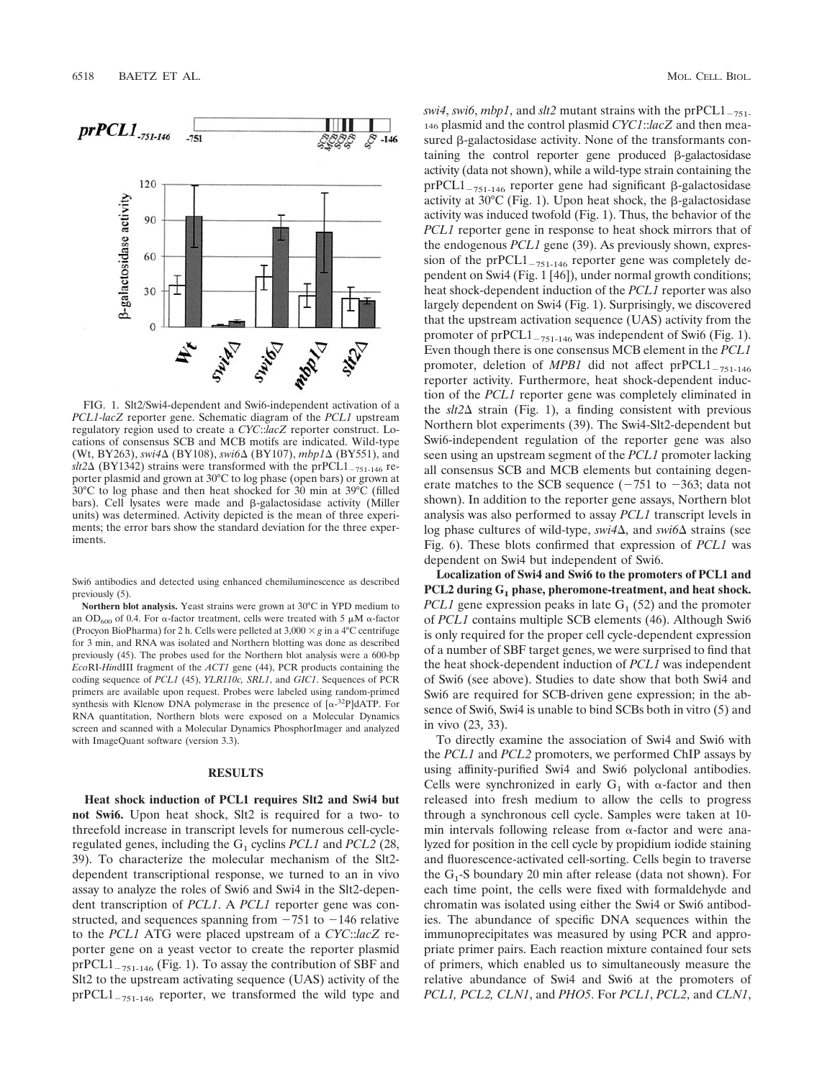

FIG. 1. Slt2/Swi4-dependent and Swi6-independent activation of a *PCL1-lacZ* reporter gene. Schematic diagram of the *PCL1* upstream regulatory region used to create a *CYC*::*lacZ* reporter construct. Locations of consensus SCB and MCB motifs are indicated. Wild-type (Wt, BY263), *swi4*Δ (BY108), *swi6*Δ (BY107), *mbp1*Δ (BY551), and  $\frac{1}{24}$  (BY1342) strains were transformed with the prPCL1<sub>-751-146</sub> reporter plasmid and grown at 30°C to log phase (open bars) or grown at 30°C to log phase and then heat shocked for 30 min at 39°C (filled bars). Cell lysates were made and  $\beta$ -galactosidase activity (Miller units) was determined. Activity depicted is the mean of three experiments; the error bars show the standard deviation for the three experiments.

Swi6 antibodies and detected using enhanced chemiluminescence as described previously (5).

**Northern blot analysis.** Yeast strains were grown at 30°C in YPD medium to an OD<sub>600</sub> of 0.4. For  $\alpha$ -factor treatment, cells were treated with 5  $\mu$ M  $\alpha$ -factor (Procyon BioPharma) for 2 h. Cells were pelleted at  $3,000 \times g$  in a 4°C centrifuge for 3 min, and RNA was isolated and Northern blotting was done as described previously (45). The probes used for the Northern blot analysis were a 600-bp *Eco*RI-*Hin*dIII fragment of the *ACT1* gene (44), PCR products containing the coding sequence of *PCL1* (45), *YLR110c, SRL1*, and *GIC1*. Sequences of PCR primers are available upon request. Probes were labeled using random-primed synthesis with Klenow DNA polymerase in the presence of  $[\alpha^{-32}P]$ dATP. For RNA quantitation, Northern blots were exposed on a Molecular Dynamics screen and scanned with a Molecular Dynamics PhosphorImager and analyzed with ImageQuant software (version 3.3).

### **RESULTS**

**Heat shock induction of PCL1 requires Slt2 and Swi4 but not Swi6.** Upon heat shock, Slt2 is required for a two- to threefold increase in transcript levels for numerous cell-cycleregulated genes, including the  $G_1$  cyclins *PCL1* and *PCL2* (28, 39). To characterize the molecular mechanism of the Slt2 dependent transcriptional response, we turned to an in vivo assay to analyze the roles of Swi6 and Swi4 in the Slt2-dependent transcription of *PCL1*. A *PCL1* reporter gene was constructed, and sequences spanning from  $-751$  to  $-146$  relative to the *PCL1* ATG were placed upstream of a *CYC*::*lacZ* reporter gene on a yeast vector to create the reporter plasmid  $prPCL1_{-751-146}$  (Fig. 1). To assay the contribution of SBF and Slt2 to the upstream activating sequence (UAS) activity of the  $prPCL1_{-751-146}$  reporter, we transformed the wild type and

*swi4*, *swi6*, *mbp1*, and *slt2* mutant strains with the prPCL1<sub>-751-</sub> 146 plasmid and the control plasmid *CYC1*::*lacZ* and then measured  $\beta$ -galactosidase activity. None of the transformants containing the control reporter gene produced  $\beta$ -galactosidase activity (data not shown), while a wild-type strain containing the prPCL1<sub>-751-146</sub> reporter gene had significant  $\beta$ -galactosidase activity at  $30^{\circ}$ C (Fig. 1). Upon heat shock, the  $\beta$ -galactosidase activity was induced twofold (Fig. 1). Thus, the behavior of the *PCL1* reporter gene in response to heat shock mirrors that of the endogenous *PCL1* gene (39). As previously shown, expression of the pr $PCL1_{-751-146}$  reporter gene was completely dependent on Swi4 (Fig. 1 [46]), under normal growth conditions; heat shock-dependent induction of the *PCL1* reporter was also largely dependent on Swi4 (Fig. 1). Surprisingly, we discovered that the upstream activation sequence (UAS) activity from the promoter of  $prPCL1_{-751-146}$  was independent of Swi6 (Fig. 1). Even though there is one consensus MCB element in the *PCL1* promoter, deletion of *MPB1* did not affect prPCL1<sub>-751-146</sub> reporter activity. Furthermore, heat shock-dependent induction of the *PCL1* reporter gene was completely eliminated in the  $\frac{st2\Delta}{\pi}$  strain (Fig. 1), a finding consistent with previous Northern blot experiments (39). The Swi4-Slt2-dependent but Swi6-independent regulation of the reporter gene was also seen using an upstream segment of the *PCL1* promoter lacking all consensus SCB and MCB elements but containing degenerate matches to the SCB sequence  $(-751$  to  $-363$ ; data not shown). In addition to the reporter gene assays, Northern blot analysis was also performed to assay *PCL1* transcript levels in log phase cultures of wild-type, *swi4*∆, and *swi6*∆ strains (see Fig. 6). These blots confirmed that expression of *PCL1* was dependent on Swi4 but independent of Swi6.

**Localization of Swi4 and Swi6 to the promoters of PCL1 and** PCL2 during G<sub>1</sub> phase, pheromone-treatment, and heat shock. *PCL1* gene expression peaks in late  $G_1$  (52) and the promoter of *PCL1* contains multiple SCB elements (46). Although Swi6 is only required for the proper cell cycle-dependent expression of a number of SBF target genes, we were surprised to find that the heat shock-dependent induction of *PCL1* was independent of Swi6 (see above). Studies to date show that both Swi4 and Swi6 are required for SCB-driven gene expression; in the absence of Swi6, Swi4 is unable to bind SCBs both in vitro (5) and in vivo (23, 33).

To directly examine the association of Swi4 and Swi6 with the *PCL1* and *PCL2* promoters, we performed ChIP assays by using affinity-purified Swi4 and Swi6 polyclonal antibodies. Cells were synchronized in early  $G_1$  with  $\alpha$ -factor and then released into fresh medium to allow the cells to progress through a synchronous cell cycle. Samples were taken at 10 min intervals following release from  $\alpha$ -factor and were analyzed for position in the cell cycle by propidium iodide staining and fluorescence-activated cell-sorting. Cells begin to traverse the  $G_1$ -S boundary 20 min after release (data not shown). For each time point, the cells were fixed with formaldehyde and chromatin was isolated using either the Swi4 or Swi6 antibodies. The abundance of specific DNA sequences within the immunoprecipitates was measured by using PCR and appropriate primer pairs. Each reaction mixture contained four sets of primers, which enabled us to simultaneously measure the relative abundance of Swi4 and Swi6 at the promoters of *PCL1, PCL2, CLN1*, and *PHO5*. For *PCL1*, *PCL2*, and *CLN1*,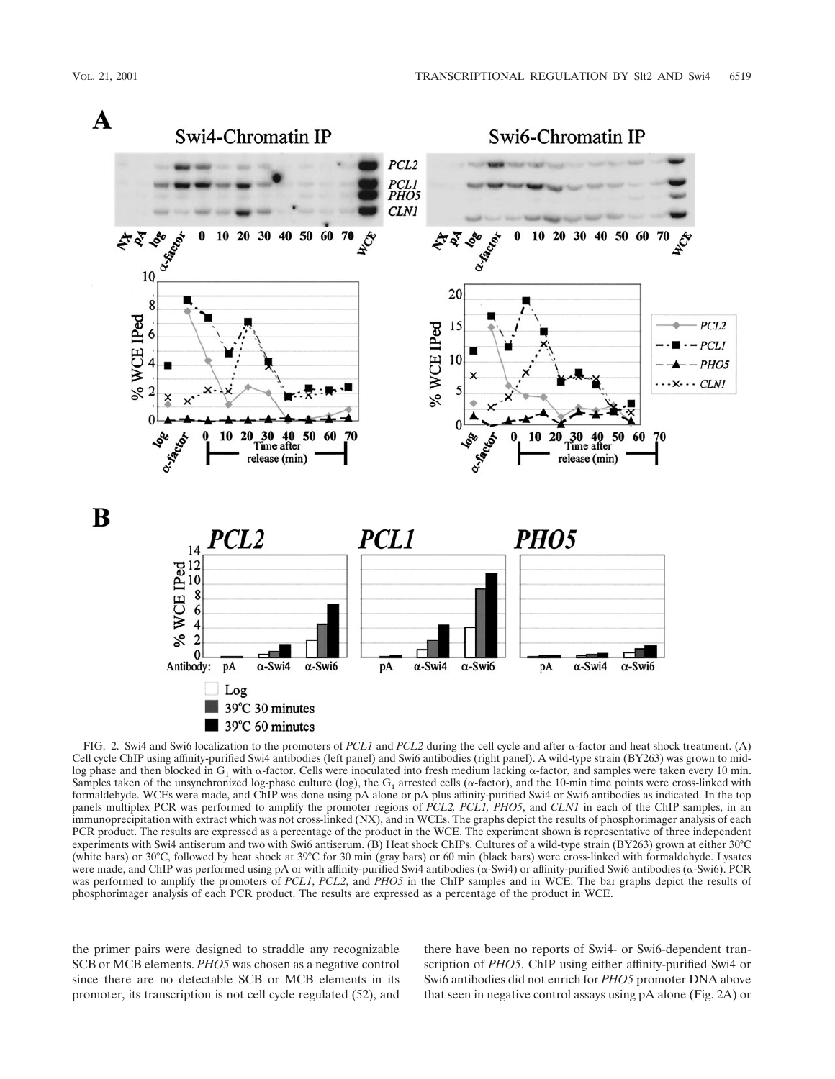

FIG. 2. Swi4 and Swi6 localization to the promoters of *PCL1* and *PCL2* during the cell cycle and after  $\alpha$ -factor and heat shock treatment. (A) Cell cycle ChIP using affinity-purified Swi4 antibodies (left panel) and Swi6 antibodies (right panel). A wild-type strain (BY263) was grown to midlog phase and then blocked in  $G_1$  with  $\alpha$ -factor. Cells were inoculated into fresh medium lacking  $\alpha$ -factor, and samples were taken every 10 min. Samples taken of the unsynchronized log-phase culture (log), the  $G_1$  arrested cells ( $\alpha$ -factor), and the 10-min time points were cross-linked with formaldehyde. WCEs were made, and ChIP was done using pA alone or pA plus affinity-purified Swi4 or Swi6 antibodies as indicated. In the top panels multiplex PCR was performed to amplify the promoter regions of *PCL2, PCL1, PHO5*, and *CLN1* in each of the ChIP samples, in an immunoprecipitation with extract which was not cross-linked (NX), and in WCEs. The graphs depict the results of phosphorimager analysis of each PCR product. The results are expressed as a percentage of the product in the WCE. The experiment shown is representative of three independent experiments with Swi4 antiserum and two with Swi6 antiserum. (B) Heat shock ChIPs. Cultures of a wild-type strain (BY263) grown at either 30°C (white bars) or 30°C, followed by heat shock at 39°C for 30 min (gray bars) or 60 min (black bars) were cross-linked with formaldehyde. Lysates were made, and ChIP was performed using pA or with affinity-purified Swi4 antibodies ( $\alpha$ -Swi4) or affinity-purified Swi6 antibodies ( $\alpha$ -Swi6). PCR was performed to amplify the promoters of *PCL1*, *PCL2*, and *PHO5* in the ChIP samples and in WCE. The bar graphs depict the results of phosphorimager analysis of each PCR product. The results are expressed as a percentage of the product in WCE.

the primer pairs were designed to straddle any recognizable SCB or MCB elements. *PHO5* was chosen as a negative control since there are no detectable SCB or MCB elements in its promoter, its transcription is not cell cycle regulated (52), and

there have been no reports of Swi4- or Swi6-dependent transcription of *PHO5*. ChIP using either affinity-purified Swi4 or Swi6 antibodies did not enrich for *PHO5* promoter DNA above that seen in negative control assays using pA alone (Fig. 2A) or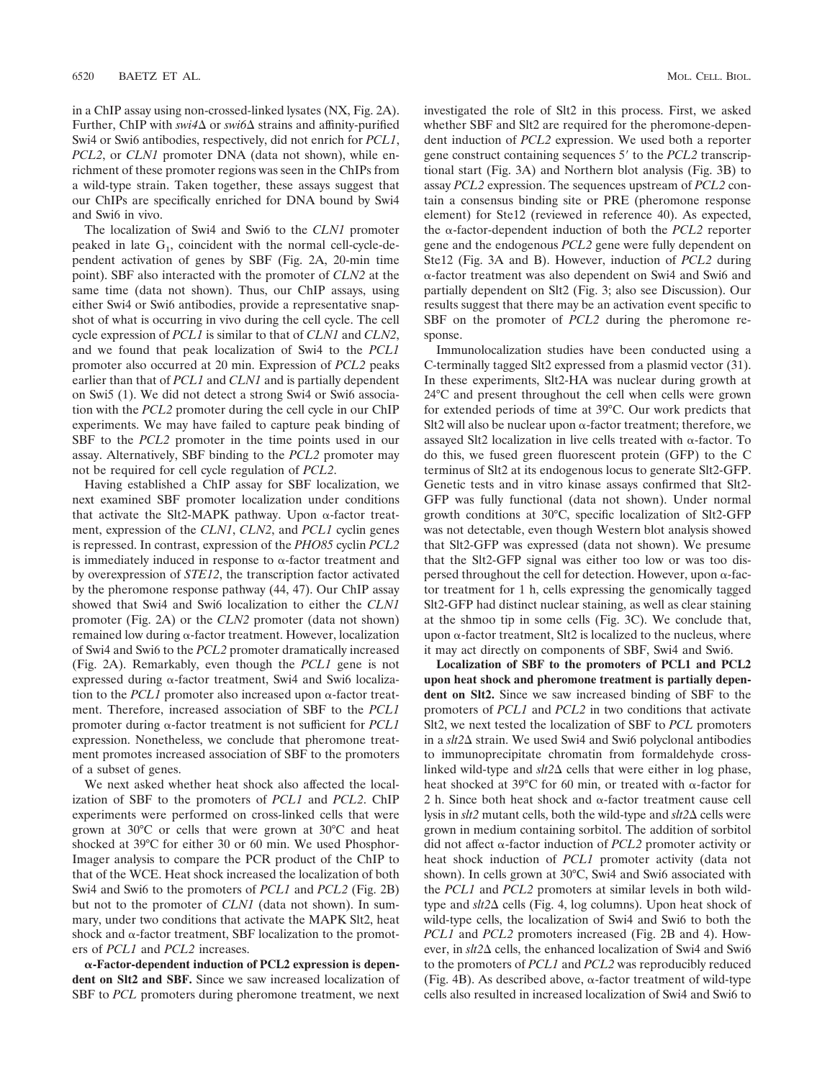in a ChIP assay using non-crossed-linked lysates (NX, Fig. 2A). Further, ChIP with *swi4*∆ or *swi6*∆ strains and affinity-purified Swi4 or Swi6 antibodies, respectively, did not enrich for *PCL1*, *PCL2*, or *CLN1* promoter DNA (data not shown), while enrichment of these promoter regions was seen in the ChIPs from a wild-type strain. Taken together, these assays suggest that our ChIPs are specifically enriched for DNA bound by Swi4 and Swi6 in vivo.

The localization of Swi4 and Swi6 to the *CLN1* promoter peaked in late  $G_1$ , coincident with the normal cell-cycle-dependent activation of genes by SBF (Fig. 2A, 20-min time point). SBF also interacted with the promoter of *CLN2* at the same time (data not shown). Thus, our ChIP assays, using either Swi4 or Swi6 antibodies, provide a representative snapshot of what is occurring in vivo during the cell cycle. The cell cycle expression of *PCL1* is similar to that of *CLN1* and *CLN2*, and we found that peak localization of Swi4 to the *PCL1* promoter also occurred at 20 min. Expression of *PCL2* peaks earlier than that of *PCL1* and *CLN1* and is partially dependent on Swi5 (1). We did not detect a strong Swi4 or Swi6 association with the *PCL2* promoter during the cell cycle in our ChIP experiments. We may have failed to capture peak binding of SBF to the *PCL2* promoter in the time points used in our assay. Alternatively, SBF binding to the *PCL2* promoter may not be required for cell cycle regulation of *PCL2*.

Having established a ChIP assay for SBF localization, we next examined SBF promoter localization under conditions that activate the Slt2-MAPK pathway. Upon  $\alpha$ -factor treatment, expression of the *CLN1*, *CLN2*, and *PCL1* cyclin genes is repressed. In contrast, expression of the *PHO85* cyclin *PCL2* is immediately induced in response to  $\alpha$ -factor treatment and by overexpression of *STE12*, the transcription factor activated by the pheromone response pathway (44, 47). Our ChIP assay showed that Swi4 and Swi6 localization to either the *CLN1* promoter (Fig. 2A) or the *CLN2* promoter (data not shown) remained low during  $\alpha$ -factor treatment. However, localization of Swi4 and Swi6 to the *PCL2* promoter dramatically increased (Fig. 2A). Remarkably, even though the *PCL1* gene is not expressed during  $\alpha$ -factor treatment, Swi4 and Swi6 localization to the *PCL1* promoter also increased upon  $\alpha$ -factor treatment. Therefore, increased association of SBF to the *PCL1* promoter during  $\alpha$ -factor treatment is not sufficient for *PCL1* expression. Nonetheless, we conclude that pheromone treatment promotes increased association of SBF to the promoters of a subset of genes.

We next asked whether heat shock also affected the localization of SBF to the promoters of *PCL1* and *PCL2*. ChIP experiments were performed on cross-linked cells that were grown at 30°C or cells that were grown at 30°C and heat shocked at 39°C for either 30 or 60 min. We used Phosphor-Imager analysis to compare the PCR product of the ChIP to that of the WCE. Heat shock increased the localization of both Swi4 and Swi6 to the promoters of *PCL1* and *PCL2* (Fig. 2B) but not to the promoter of *CLN1* (data not shown). In summary, under two conditions that activate the MAPK Slt2, heat shock and  $\alpha$ -factor treatment, SBF localization to the promoters of *PCL1* and *PCL2* increases.

-**-Factor-dependent induction of PCL2 expression is dependent on Slt2 and SBF.** Since we saw increased localization of SBF to *PCL* promoters during pheromone treatment, we next

investigated the role of Slt2 in this process. First, we asked whether SBF and Slt2 are required for the pheromone-dependent induction of *PCL2* expression. We used both a reporter gene construct containing sequences 5' to the *PCL2* transcriptional start (Fig. 3A) and Northern blot analysis (Fig. 3B) to assay *PCL2* expression. The sequences upstream of *PCL2* contain a consensus binding site or PRE (pheromone response element) for Ste12 (reviewed in reference 40). As expected, the  $\alpha$ -factor-dependent induction of both the *PCL2* reporter gene and the endogenous *PCL2* gene were fully dependent on Ste12 (Fig. 3A and B). However, induction of *PCL2* during -factor treatment was also dependent on Swi4 and Swi6 and partially dependent on Slt2 (Fig. 3; also see Discussion). Our results suggest that there may be an activation event specific to SBF on the promoter of *PCL2* during the pheromone response.

Immunolocalization studies have been conducted using a C-terminally tagged Slt2 expressed from a plasmid vector (31). In these experiments, Slt2-HA was nuclear during growth at 24°C and present throughout the cell when cells were grown for extended periods of time at 39°C. Our work predicts that Slt2 will also be nuclear upon  $\alpha$ -factor treatment; therefore, we assayed Slt2 localization in live cells treated with  $\alpha$ -factor. To do this, we fused green fluorescent protein (GFP) to the C terminus of Slt2 at its endogenous locus to generate Slt2-GFP. Genetic tests and in vitro kinase assays confirmed that Slt2- GFP was fully functional (data not shown). Under normal growth conditions at 30°C, specific localization of Slt2-GFP was not detectable, even though Western blot analysis showed that Slt2-GFP was expressed (data not shown). We presume that the Slt2-GFP signal was either too low or was too dispersed throughout the cell for detection. However, upon  $\alpha$ -factor treatment for 1 h, cells expressing the genomically tagged Slt2-GFP had distinct nuclear staining, as well as clear staining at the shmoo tip in some cells (Fig. 3C). We conclude that, upon  $\alpha$ -factor treatment, Slt2 is localized to the nucleus, where it may act directly on components of SBF, Swi4 and Swi6.

**Localization of SBF to the promoters of PCL1 and PCL2 upon heat shock and pheromone treatment is partially dependent on Slt2.** Since we saw increased binding of SBF to the promoters of *PCL1* and *PCL2* in two conditions that activate Slt2, we next tested the localization of SBF to *PCL* promoters in a *slt2* $\Delta$  strain. We used Swi4 and Swi6 polyclonal antibodies to immunoprecipitate chromatin from formaldehyde crosslinked wild-type and  $\text{str2}\Delta$  cells that were either in log phase, heat shocked at 39°C for 60 min, or treated with  $\alpha$ -factor for 2 h. Since both heat shock and  $\alpha$ -factor treatment cause cell lysis in  $slt2$  mutant cells, both the wild-type and  $slt2\Delta$  cells were grown in medium containing sorbitol. The addition of sorbitol did not affect  $\alpha$ -factor induction of *PCL2* promoter activity or heat shock induction of *PCL1* promoter activity (data not shown). In cells grown at 30°C, Swi4 and Swi6 associated with the *PCL1* and *PCL2* promoters at similar levels in both wildtype and  $\text{st2}\Delta$  cells (Fig. 4, log columns). Upon heat shock of wild-type cells, the localization of Swi4 and Swi6 to both the *PCL1* and *PCL2* promoters increased (Fig. 2B and 4). However, in  $\text{str2}\Delta$  cells, the enhanced localization of Swi4 and Swi6 to the promoters of *PCL1* and *PCL2* was reproducibly reduced (Fig. 4B). As described above,  $\alpha$ -factor treatment of wild-type cells also resulted in increased localization of Swi4 and Swi6 to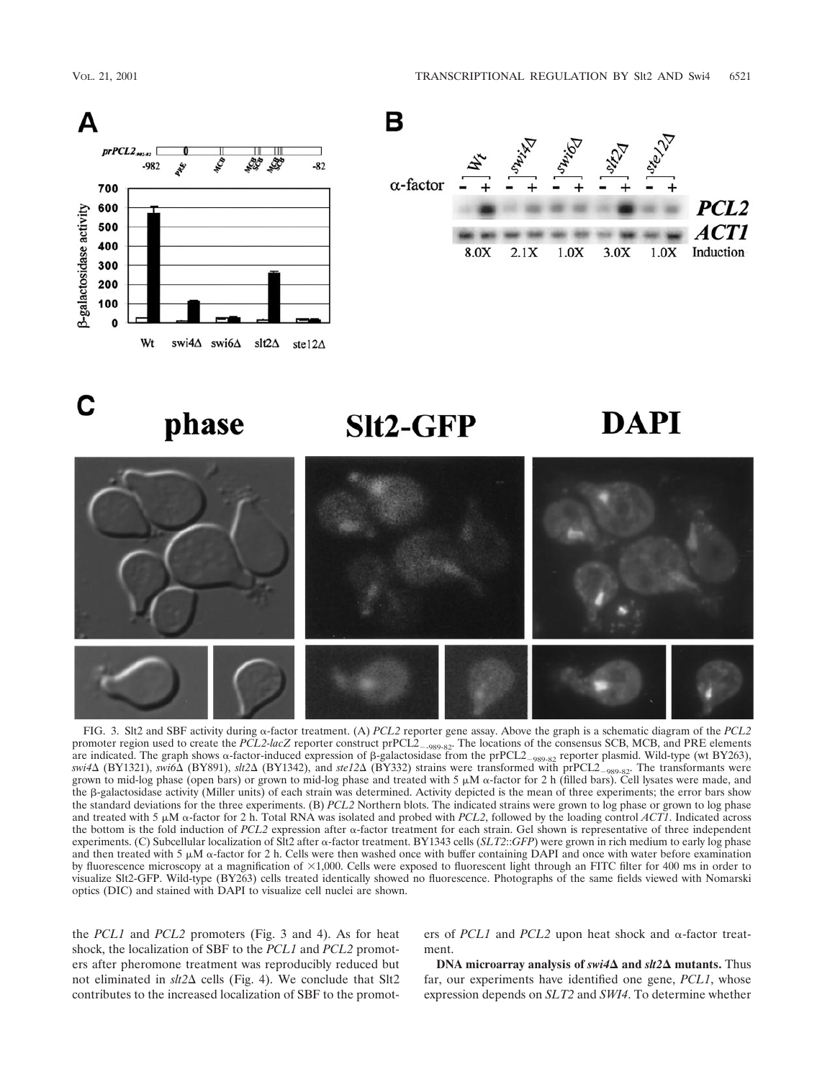





## $Slt2-GFP$

# DAPI



FIG. 3. Slt2 and SBF activity during  $\alpha$ -factor treatment. (A) *PCL2* reporter gene assay. Above the graph is a schematic diagram of the *PCL2* promoter region used to create the *PCL2-lacZ* reporter construct prPCL2-989-82. The locations of the consensus SCB, MCB, and PRE elements are indicated. The graph shows  $\alpha$ -factor-induced expression of β-galactosidase from the prPCL2<sub>–989-82</sub> reporter plasmid. Wild-type (wt BY263), *swi4*Δ (BY1321), *swi6*Δ (BY891), *slt2*Δ (BY1342), and *ste12*Δ (BY332) strains were transformed with prPCL2<sub>-989-82</sub>. The transformants were grown to mid-log phase (open bars) or grown to mid-log phase and treated with  $5 \mu M$   $\alpha$ -factor for 2 h (filled bars). Cell lysates were made, and the  $\beta$ -galactosidase activity (Miller units) of each strain was determined. Activity depicted is the mean of three experiments; the error bars show the standard deviations for the three experiments. (B) *PCL2* Northern blots. The indicated strains were grown to log phase or grown to log phase and treated with 5  $\mu$ M  $\alpha$ -factor for 2 h. Total RNA was isolated and probed with *PCL2*, followed by the loading control *ACT1*. Indicated across the bottom is the fold induction of  $PCL2$  expression after  $\alpha$ -factor treatment for each strain. Gel shown is representative of three independent experiments. (C) Subcellular localization of Slt2 after  $\alpha$ -factor treatment. BY1343 cells (*SLT2*::*GFP*) were grown in rich medium to early log phase and then treated with 5  $\mu$ M  $\alpha$ -factor for 2 h. Cells were then washed once with buffer containing DAPI and once with water before examination by fluorescence microscopy at a magnification of  $\times 1,000$ . Cells were exposed to fluorescent light through an FITC filter for 400 ms in order to visualize Slt2-GFP. Wild-type (BY263) cells treated identically showed no fluorescence. Photographs of the same fields viewed with Nomarski optics (DIC) and stained with DAPI to visualize cell nuclei are shown.

the *PCL1* and *PCL2* promoters (Fig. 3 and 4). As for heat shock, the localization of SBF to the *PCL1* and *PCL2* promoters after pheromone treatment was reproducibly reduced but not eliminated in  $s\,t2\Delta$  cells (Fig. 4). We conclude that Slt2 contributes to the increased localization of SBF to the promoters of *PCL1* and *PCL2* upon heat shock and  $\alpha$ -factor treatment.

**DNA microarray analysis of**  $swi4\Delta$  **and**  $slt2\Delta$  **mutants. Thus** far, our experiments have identified one gene, *PCL1*, whose expression depends on *SLT2* and *SWI4*. To determine whether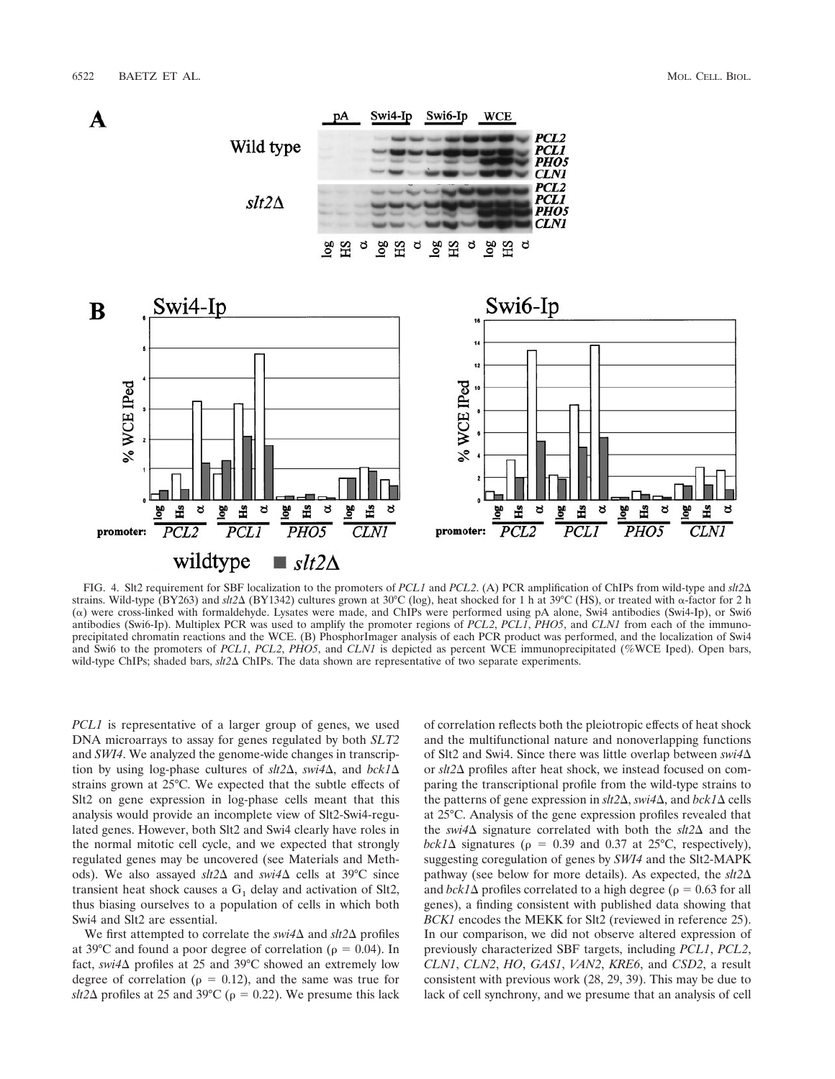



FIG. 4. Slt2 requirement for SBF localization to the promoters of *PCL1* and *PCL2*. (A) PCR amplification of ChIPs from wild-type and *slt2* strains. Wild-type (BY263) and *slt2*Δ (BY1342) cultures grown at 30°C (log), heat shocked for 1 h at 39°C (HS), or treated with α-factor for 2 h  $(\alpha)$  were cross-linked with formaldehyde. Lysates were made, and ChIPs were performed using pA alone, Swi4 antibodies (Swi4-Ip), or Swi6 antibodies (Swi6-Ip). Multiplex PCR was used to amplify the promoter regions of *PCL2*, *PCL1*, *PHO5*, and *CLN1* from each of the immunoprecipitated chromatin reactions and the WCE. (B) PhosphorImager analysis of each PCR product was performed, and the localization of Swi4 and Swi6 to the promoters of *PCL1*, *PCL2*, *PHO5*, and *CLN1* is depicted as percent WCE immunoprecipitated (%WCE Iped). Open bars, wild-type ChIPs; shaded bars,  $\frac{st2\Delta}{ChIPs}$ . The data shown are representative of two separate experiments.

*PCL1* is representative of a larger group of genes, we used DNA microarrays to assay for genes regulated by both *SLT2* and *SWI4*. We analyzed the genome-wide changes in transcription by using log-phase cultures of  $\text{slt2}\Delta$ ,  $\text{swi4}\Delta$ , and  $\text{bck1}\Delta$ strains grown at 25°C. We expected that the subtle effects of Slt2 on gene expression in log-phase cells meant that this analysis would provide an incomplete view of Slt2-Swi4-regulated genes. However, both Slt2 and Swi4 clearly have roles in the normal mitotic cell cycle, and we expected that strongly regulated genes may be uncovered (see Materials and Methods). We also assayed *slt2*∆ and *swi4*∆ cells at 39°C since transient heat shock causes a  $G_1$  delay and activation of Slt2, thus biasing ourselves to a population of cells in which both Swi4 and Slt2 are essential.

We first attempted to correlate the  $swi4\Delta$  and  $slt2\Delta$  profiles at 39 $^{\circ}$ C and found a poor degree of correlation ( $\rho = 0.04$ ). In fact, *swi4* $\Delta$  profiles at 25 and 39°C showed an extremely low degree of correlation ( $\rho = 0.12$ ), and the same was true for  $\delta$ slt2 $\Delta$  profiles at 25 and 39°C ( $\rho = 0.22$ ). We presume this lack of correlation reflects both the pleiotropic effects of heat shock and the multifunctional nature and nonoverlapping functions of Slt2 and Swi4. Since there was little overlap between *swi4* or *slt2*∆ profiles after heat shock, we instead focused on comparing the transcriptional profile from the wild-type strains to the patterns of gene expression in  $\frac{slt2\Delta}{}$ ,  $\frac{\frac{su}{4\Delta}}{}$ , and  $\frac{bck}{\Delta}$  cells at 25°C. Analysis of the gene expression profiles revealed that the *swi4* $\Delta$  signature correlated with both the *slt2* $\Delta$  and the  $bck1\Delta$  signatures ( $\rho = 0.39$  and 0.37 at 25°C, respectively), suggesting coregulation of genes by *SWI4* and the Slt2-MAPK pathway (see below for more details). As expected, the *slt2* and  $bck1\Delta$  profiles correlated to a high degree ( $\rho = 0.63$  for all genes), a finding consistent with published data showing that *BCK1* encodes the MEKK for Slt2 (reviewed in reference 25). In our comparison, we did not observe altered expression of previously characterized SBF targets, including *PCL1*, *PCL2*, *CLN1*, *CLN2*, *HO*, *GAS1*, *VAN2*, *KRE6*, and *CSD2*, a result consistent with previous work (28, 29, 39). This may be due to lack of cell synchrony, and we presume that an analysis of cell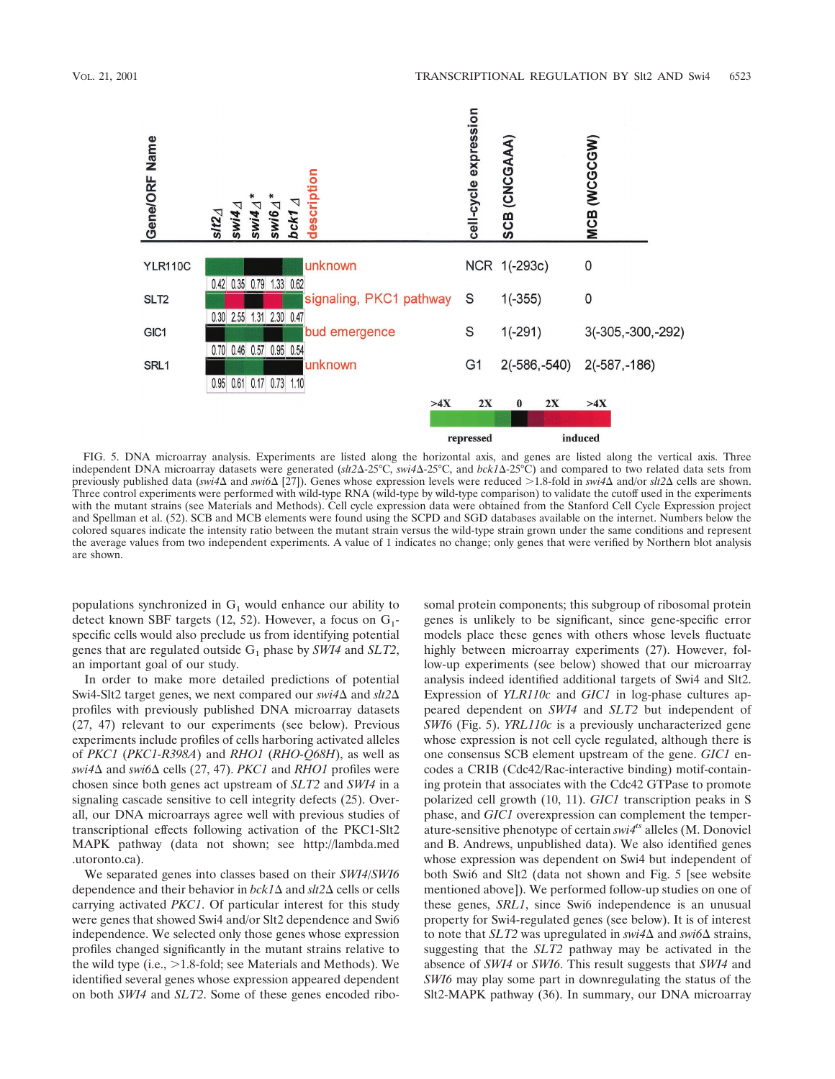



FIG. 5. DNA microarray analysis. Experiments are listed along the horizontal axis, and genes are listed along the vertical axis. Three independent DNA microarray datasets were generated (slt2 $\Delta$ -25°C, swi4 $\Delta$ -25°C, and bck1 $\Delta$ -25°C) and compared to two related data sets from previously published data (swi4 $\Delta$  and swi6 $\Delta$  [27]). Genes whose expression levels were reduced >1.8-fold in swi4 $\Delta$  and/or slt2 $\Delta$  cells are shown. Three control experiments were performed with wild-type RNA (wild-type by wild-type comparison) to validate the cutoff used in the experiments with the mutant strains (see Materials and Methods). Cell cycle expression data were obtained from the Stanford Cell Cycle Expression project and Spellman et al. (52). SCB and MCB elements were found using the SCPD and SGD databases available on the internet. Numbers below the colored squares indicate the intensity ratio between the mutant strain versus the wild-type strain grown under the same conditions and represent the average values from two independent experiments. A value of 1 indicates no change; only genes that were verified by Northern blot analysis are shown.

populations synchronized in  $G_1$  would enhance our ability to detect known SBF targets (12, 52). However, a focus on  $G_1$ specific cells would also preclude us from identifying potential genes that are regulated outside  $G_1$  phase by *SWI4* and *SLT2*, an important goal of our study.

In order to make more detailed predictions of potential Swi4-Slt2 target genes, we next compared our *swi4* $\Delta$  and *slt2* $\Delta$ profiles with previously published DNA microarray datasets (27, 47) relevant to our experiments (see below). Previous experiments include profiles of cells harboring activated alleles of *PKC1* (*PKC1-R398A*) and *RHO1* (*RHO-Q68H*), as well as  $swi4\Delta$  and  $swi6\Delta$  cells (27, 47). *PKC1* and *RHO1* profiles were chosen since both genes act upstream of *SLT2* and *SWI4* in a signaling cascade sensitive to cell integrity defects (25). Overall, our DNA microarrays agree well with previous studies of transcriptional effects following activation of the PKC1-Slt2 MAPK pathway (data not shown; see http://lambda.med .utoronto.ca).

We separated genes into classes based on their *SWI4*/*SWI6* dependence and their behavior in *bck1*∆ and *slt2*∆ cells or cells carrying activated *PKC1*. Of particular interest for this study were genes that showed Swi4 and/or Slt2 dependence and Swi6 independence. We selected only those genes whose expression profiles changed significantly in the mutant strains relative to the wild type  $(i.e., >1.8\text{-fold}$ ; see Materials and Methods). We identified several genes whose expression appeared dependent on both *SWI4* and *SLT2*. Some of these genes encoded ribosomal protein components; this subgroup of ribosomal protein genes is unlikely to be significant, since gene-specific error models place these genes with others whose levels fluctuate highly between microarray experiments (27). However, follow-up experiments (see below) showed that our microarray analysis indeed identified additional targets of Swi4 and Slt2. Expression of *YLR110c* and *GIC1* in log-phase cultures appeared dependent on *SWI4* and *SLT2* but independent of *SWI*6 (Fig. 5). *YRL110c* is a previously uncharacterized gene whose expression is not cell cycle regulated, although there is one consensus SCB element upstream of the gene. *GIC1* encodes a CRIB (Cdc42/Rac-interactive binding) motif-containing protein that associates with the Cdc42 GTPase to promote polarized cell growth (10, 11). *GIC1* transcription peaks in S phase, and *GIC1* overexpression can complement the temperature-sensitive phenotype of certain *swi4ts* alleles (M. Donoviel and B. Andrews, unpublished data). We also identified genes whose expression was dependent on Swi4 but independent of both Swi6 and Slt2 (data not shown and Fig. 5 [see website mentioned above]). We performed follow-up studies on one of these genes, *SRL1*, since Swi6 independence is an unusual property for Swi4-regulated genes (see below). It is of interest to note that *SLT2* was upregulated in  $swi4\Delta$  and  $swi6\Delta$  strains, suggesting that the *SLT2* pathway may be activated in the absence of *SWI4* or *SWI6*. This result suggests that *SWI4* and *SWI6* may play some part in downregulating the status of the Slt2-MAPK pathway (36). In summary, our DNA microarray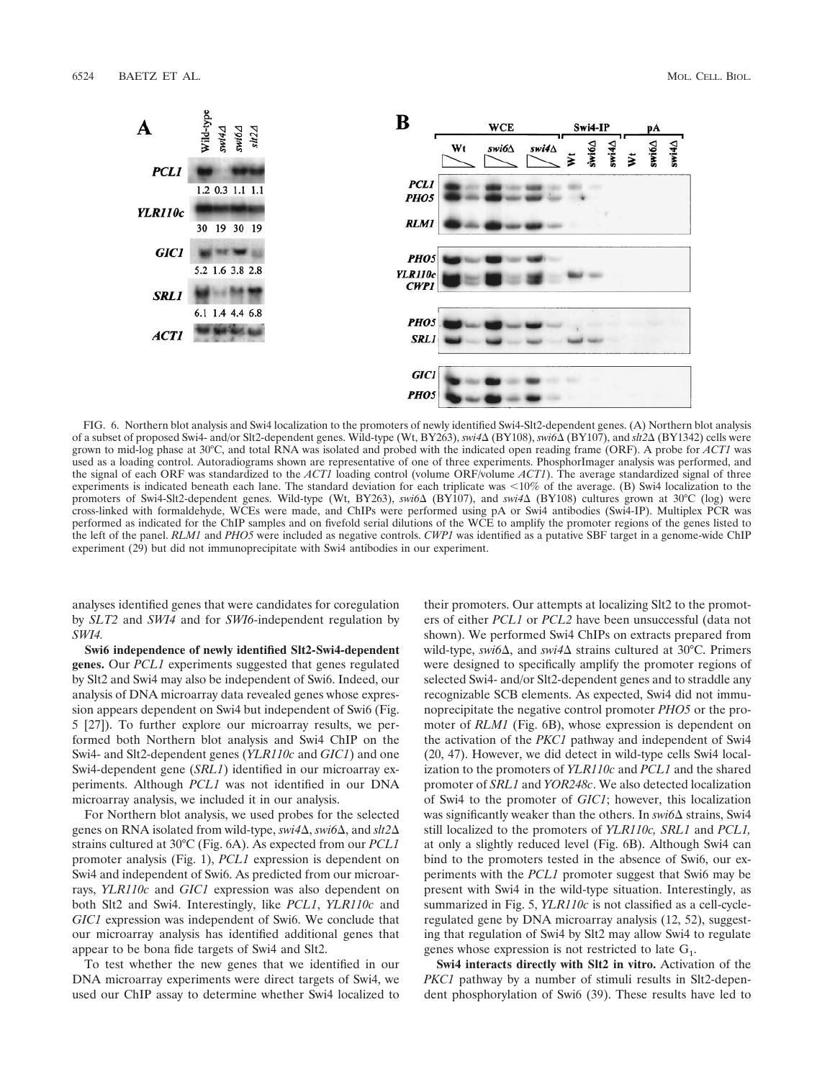

FIG. 6. Northern blot analysis and Swi4 localization to the promoters of newly identified Swi4-Slt2-dependent genes. (A) Northern blot analysis of a subset of proposed Swi4- and/or Slt2-dependent genes. Wild-type (Wt, BY263), *swi4*- (BY108), *swi6*- (BY107), and *slt2*- (BY1342) cells were grown to mid-log phase at 30°C, and total RNA was isolated and probed with the indicated open reading frame (ORF). A probe for *ACT1* was used as a loading control. Autoradiograms shown are representative of one of three experiments. PhosphorImager analysis was performed, and the signal of each ORF was standardized to the *ACT1* loading control (volume ORF/volume *ACT1*). The average standardized signal of three experiments is indicated beneath each lane. The standard deviation for each triplicate was 10% of the average. (B) Swi4 localization to the promoters of Swi4-Slt2-dependent genes. Wild-type (Wt, BY263), *swi6*Δ (BY107), and *swi4*Δ (BY108) cultures grown at 30°C (log) were cross-linked with formaldehyde, WCEs were made, and ChIPs were performed using pA or Swi4 antibodies (Swi4-IP). Multiplex PCR was performed as indicated for the ChIP samples and on fivefold serial dilutions of the WCE to amplify the promoter regions of the genes listed to the left of the panel. *RLM1* and *PHO5* were included as negative controls. *CWP1* was identified as a putative SBF target in a genome-wide ChIP experiment (29) but did not immunoprecipitate with Swi4 antibodies in our experiment.

analyses identified genes that were candidates for coregulation by *SLT2* and *SWI4* and for *SWI6*-independent regulation by *SWI4.*

**Swi6 independence of newly identified Slt2-Swi4-dependent genes.** Our *PCL1* experiments suggested that genes regulated by Slt2 and Swi4 may also be independent of Swi6. Indeed, our analysis of DNA microarray data revealed genes whose expression appears dependent on Swi4 but independent of Swi6 (Fig. 5 [27]). To further explore our microarray results, we performed both Northern blot analysis and Swi4 ChIP on the Swi4- and Slt2-dependent genes (*YLR110c* and *GIC1*) and one Swi4-dependent gene (*SRL1*) identified in our microarray experiments. Although *PCL1* was not identified in our DNA microarray analysis, we included it in our analysis.

For Northern blot analysis, we used probes for the selected genes on RNA isolated from wild-type, *swi4*Δ, *swi6*Δ, and *slt2*Δ strains cultured at 30°C (Fig. 6A). As expected from our *PCL1* promoter analysis (Fig. 1), *PCL1* expression is dependent on Swi4 and independent of Swi6. As predicted from our microarrays, *YLR110c* and *GIC1* expression was also dependent on both Slt2 and Swi4. Interestingly, like *PCL1*, *YLR110c* and *GIC1* expression was independent of Swi6. We conclude that our microarray analysis has identified additional genes that appear to be bona fide targets of Swi4 and Slt2.

To test whether the new genes that we identified in our DNA microarray experiments were direct targets of Swi4, we used our ChIP assay to determine whether Swi4 localized to their promoters. Our attempts at localizing Slt2 to the promoters of either *PCL1* or *PCL2* have been unsuccessful (data not shown). We performed Swi4 ChIPs on extracts prepared from wild-type, *swi6*∆, and *swi4*∆ strains cultured at 30°C. Primers were designed to specifically amplify the promoter regions of selected Swi4- and/or Slt2-dependent genes and to straddle any recognizable SCB elements. As expected, Swi4 did not immunoprecipitate the negative control promoter *PHO5* or the promoter of *RLM1* (Fig. 6B), whose expression is dependent on the activation of the *PKC1* pathway and independent of Swi4 (20, 47). However, we did detect in wild-type cells Swi4 localization to the promoters of *YLR110c* and *PCL1* and the shared promoter of *SRL1* and *YOR248c*. We also detected localization of Swi4 to the promoter of *GIC1*; however, this localization was significantly weaker than the others. In *swi6* $\Delta$  strains, Swi4 still localized to the promoters of *YLR110c, SRL1* and *PCL1,* at only a slightly reduced level (Fig. 6B). Although Swi4 can bind to the promoters tested in the absence of Swi6, our experiments with the *PCL1* promoter suggest that Swi6 may be present with Swi4 in the wild-type situation. Interestingly, as summarized in Fig. 5, *YLR110c* is not classified as a cell-cycleregulated gene by DNA microarray analysis (12, 52), suggesting that regulation of Swi4 by Slt2 may allow Swi4 to regulate genes whose expression is not restricted to late  $G_1$ .

**Swi4 interacts directly with Slt2 in vitro.** Activation of the *PKC1* pathway by a number of stimuli results in Slt2-dependent phosphorylation of Swi6 (39). These results have led to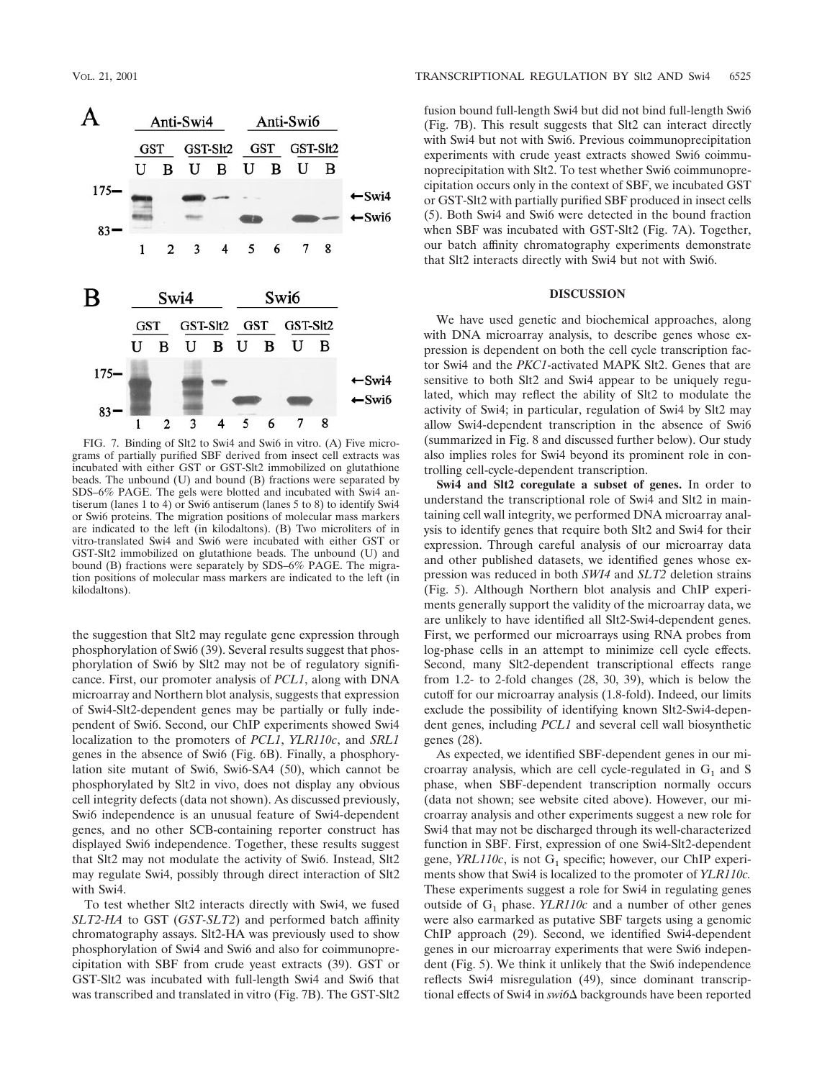

FIG. 7. Binding of Slt2 to Swi4 and Swi6 in vitro. (A) Five micrograms of partially purified SBF derived from insect cell extracts was incubated with either GST or GST-Slt2 immobilized on glutathione beads. The unbound (U) and bound (B) fractions were separated by SDS–6% PAGE. The gels were blotted and incubated with Swi4 antiserum (lanes 1 to 4) or Swi6 antiserum (lanes 5 to 8) to identify Swi4 or Swi6 proteins. The migration positions of molecular mass markers are indicated to the left (in kilodaltons). (B) Two microliters of in vitro-translated Swi4 and Swi6 were incubated with either GST or GST-Slt2 immobilized on glutathione beads. The unbound (U) and bound (B) fractions were separately by SDS–6% PAGE. The migration positions of molecular mass markers are indicated to the left (in kilodaltons).

the suggestion that Slt2 may regulate gene expression through phosphorylation of Swi6 (39). Several results suggest that phosphorylation of Swi6 by Slt2 may not be of regulatory significance. First, our promoter analysis of *PCL1*, along with DNA microarray and Northern blot analysis, suggests that expression of Swi4-Slt2-dependent genes may be partially or fully independent of Swi6. Second, our ChIP experiments showed Swi4 localization to the promoters of *PCL1*, *YLR110c*, and *SRL1* genes in the absence of Swi6 (Fig. 6B). Finally, a phosphorylation site mutant of Swi6, Swi6-SA4 (50), which cannot be phosphorylated by Slt2 in vivo, does not display any obvious cell integrity defects (data not shown). As discussed previously, Swi6 independence is an unusual feature of Swi4-dependent genes, and no other SCB-containing reporter construct has displayed Swi6 independence. Together, these results suggest that Slt2 may not modulate the activity of Swi6. Instead, Slt2 may regulate Swi4, possibly through direct interaction of Slt2 with Swi4.

To test whether Slt2 interacts directly with Swi4, we fused *SLT2-HA* to GST (*GST-SLT2*) and performed batch affinity chromatography assays. Slt2-HA was previously used to show phosphorylation of Swi4 and Swi6 and also for coimmunoprecipitation with SBF from crude yeast extracts (39). GST or GST-Slt2 was incubated with full-length Swi4 and Swi6 that was transcribed and translated in vitro (Fig. 7B). The GST-Slt2

fusion bound full-length Swi4 but did not bind full-length Swi6 (Fig. 7B). This result suggests that Slt2 can interact directly with Swi4 but not with Swi6. Previous coimmunoprecipitation experiments with crude yeast extracts showed Swi6 coimmunoprecipitation with Slt2. To test whether Swi6 coimmunoprecipitation occurs only in the context of SBF, we incubated GST or GST-Slt2 with partially purified SBF produced in insect cells (5). Both Swi4 and Swi6 were detected in the bound fraction when SBF was incubated with GST-Slt2 (Fig. 7A). Together, our batch affinity chromatography experiments demonstrate that Slt2 interacts directly with Swi4 but not with Swi6.

### **DISCUSSION**

We have used genetic and biochemical approaches, along with DNA microarray analysis, to describe genes whose expression is dependent on both the cell cycle transcription factor Swi4 and the *PKC1*-activated MAPK Slt2. Genes that are sensitive to both Slt2 and Swi4 appear to be uniquely regulated, which may reflect the ability of Slt2 to modulate the activity of Swi4; in particular, regulation of Swi4 by Slt2 may allow Swi4-dependent transcription in the absence of Swi6 (summarized in Fig. 8 and discussed further below). Our study also implies roles for Swi4 beyond its prominent role in controlling cell-cycle-dependent transcription.

**Swi4 and Slt2 coregulate a subset of genes.** In order to understand the transcriptional role of Swi4 and Slt2 in maintaining cell wall integrity, we performed DNA microarray analysis to identify genes that require both Slt2 and Swi4 for their expression. Through careful analysis of our microarray data and other published datasets, we identified genes whose expression was reduced in both *SWI4* and *SLT2* deletion strains (Fig. 5). Although Northern blot analysis and ChIP experiments generally support the validity of the microarray data, we are unlikely to have identified all Slt2-Swi4-dependent genes. First, we performed our microarrays using RNA probes from log-phase cells in an attempt to minimize cell cycle effects. Second, many Slt2-dependent transcriptional effects range from 1.2- to 2-fold changes (28, 30, 39), which is below the cutoff for our microarray analysis (1.8-fold). Indeed, our limits exclude the possibility of identifying known Slt2-Swi4-dependent genes, including *PCL1* and several cell wall biosynthetic genes (28).

As expected, we identified SBF-dependent genes in our microarray analysis, which are cell cycle-regulated in  $G_1$  and S phase, when SBF-dependent transcription normally occurs (data not shown; see website cited above). However, our microarray analysis and other experiments suggest a new role for Swi4 that may not be discharged through its well-characterized function in SBF. First, expression of one Swi4-Slt2-dependent gene,  $YRL110c$ , is not  $G_1$  specific; however, our ChIP experiments show that Swi4 is localized to the promoter of *YLR110c.* These experiments suggest a role for Swi4 in regulating genes outside of  $G_1$  phase. *YLR110c* and a number of other genes were also earmarked as putative SBF targets using a genomic ChIP approach (29). Second, we identified Swi4-dependent genes in our microarray experiments that were Swi6 independent (Fig. 5). We think it unlikely that the Swi6 independence reflects Swi4 misregulation (49), since dominant transcriptional effects of Swi4 in *swi6*∆ backgrounds have been reported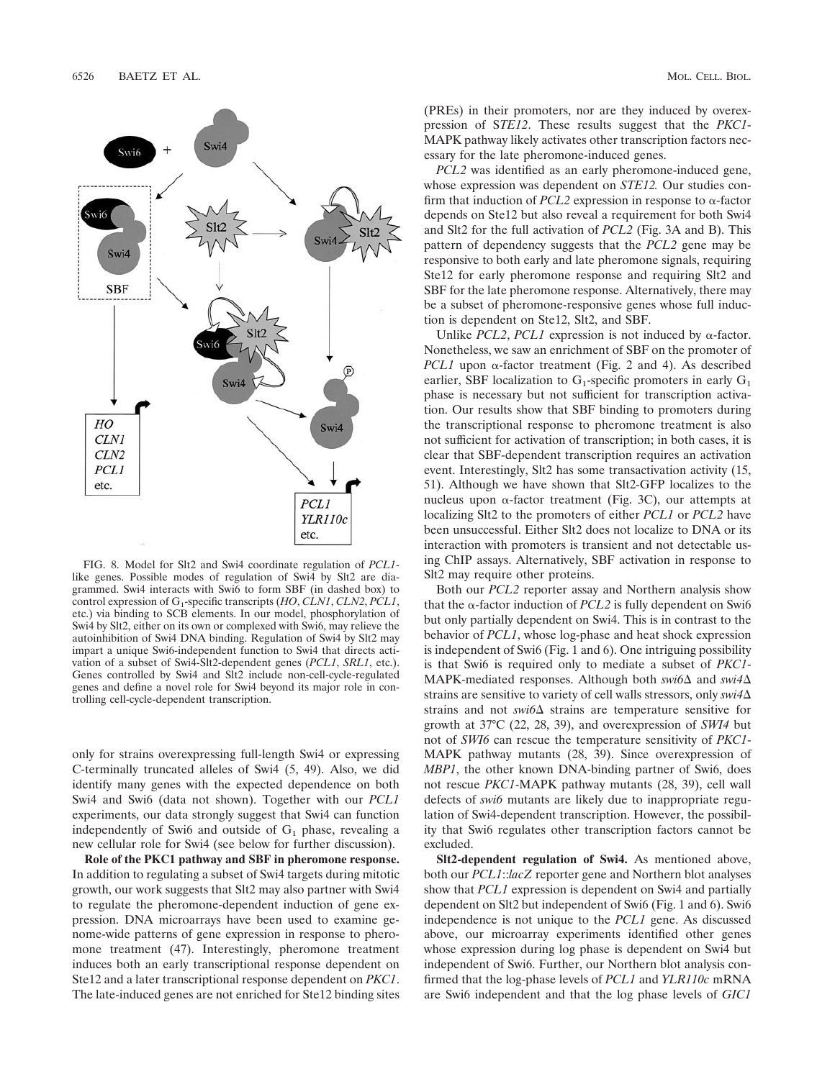

FIG. 8. Model for Slt2 and Swi4 coordinate regulation of *PCL1* like genes. Possible modes of regulation of Swi4 by Slt2 are diagrammed. Swi4 interacts with Swi6 to form SBF (in dashed box) to control expression of G1-specific transcripts (*HO*, *CLN1*, *CLN2*, *PCL1*, etc.) via binding to SCB elements. In our model, phosphorylation of Swi4 by Slt2, either on its own or complexed with Swi6, may relieve the autoinhibition of Swi4 DNA binding. Regulation of Swi4 by Slt2 may impart a unique Swi6-independent function to Swi4 that directs activation of a subset of Swi4-Slt2-dependent genes (*PCL1*, *SRL1*, etc.). Genes controlled by Swi4 and Slt2 include non-cell-cycle-regulated genes and define a novel role for Swi4 beyond its major role in controlling cell-cycle-dependent transcription.

only for strains overexpressing full-length Swi4 or expressing C-terminally truncated alleles of Swi4 (5, 49). Also, we did identify many genes with the expected dependence on both Swi4 and Swi6 (data not shown). Together with our *PCL1* experiments, our data strongly suggest that Swi4 can function independently of Swi6 and outside of  $G_1$  phase, revealing a new cellular role for Swi4 (see below for further discussion).

**Role of the PKC1 pathway and SBF in pheromone response.** In addition to regulating a subset of Swi4 targets during mitotic growth, our work suggests that Slt2 may also partner with Swi4 to regulate the pheromone-dependent induction of gene expression. DNA microarrays have been used to examine genome-wide patterns of gene expression in response to pheromone treatment (47). Interestingly, pheromone treatment induces both an early transcriptional response dependent on Ste12 and a later transcriptional response dependent on *PKC1*. The late-induced genes are not enriched for Ste12 binding sites (PREs) in their promoters, nor are they induced by overexpression of S*TE12*. These results suggest that the *PKC1*- MAPK pathway likely activates other transcription factors necessary for the late pheromone-induced genes.

*PCL2* was identified as an early pheromone-induced gene, whose expression was dependent on *STE12.* Our studies confirm that induction of *PCL2* expression in response to  $\alpha$ -factor depends on Ste12 but also reveal a requirement for both Swi4 and Slt2 for the full activation of *PCL2* (Fig. 3A and B). This pattern of dependency suggests that the *PCL2* gene may be responsive to both early and late pheromone signals, requiring Ste12 for early pheromone response and requiring Slt2 and SBF for the late pheromone response. Alternatively, there may be a subset of pheromone-responsive genes whose full induction is dependent on Ste12, Slt2, and SBF.

Unlike *PCL2*, *PCL1* expression is not induced by  $\alpha$ -factor. Nonetheless, we saw an enrichment of SBF on the promoter of *PCL1* upon  $\alpha$ -factor treatment (Fig. 2 and 4). As described earlier, SBF localization to  $G_1$ -specific promoters in early  $G_1$ phase is necessary but not sufficient for transcription activation. Our results show that SBF binding to promoters during the transcriptional response to pheromone treatment is also not sufficient for activation of transcription; in both cases, it is clear that SBF-dependent transcription requires an activation event. Interestingly, Slt2 has some transactivation activity (15, 51). Although we have shown that Slt2-GFP localizes to the nucleus upon  $\alpha$ -factor treatment (Fig. 3C), our attempts at localizing Slt2 to the promoters of either *PCL1* or *PCL2* have been unsuccessful. Either Slt2 does not localize to DNA or its interaction with promoters is transient and not detectable using ChIP assays. Alternatively, SBF activation in response to Slt2 may require other proteins.

Both our *PCL2* reporter assay and Northern analysis show that the  $\alpha$ -factor induction of *PCL2* is fully dependent on Swi6 but only partially dependent on Swi4. This is in contrast to the behavior of *PCL1*, whose log-phase and heat shock expression is independent of Swi6 (Fig. 1 and 6). One intriguing possibility is that Swi6 is required only to mediate a subset of *PKC1*- MAPK-mediated responses. Although both *swi6* $\Delta$  and *swi4* $\Delta$ strains are sensitive to variety of cell walls stressors, only *swi4* strains and not  $swi6\Delta$  strains are temperature sensitive for growth at 37°C (22, 28, 39), and overexpression of *SWI4* but not of *SWI6* can rescue the temperature sensitivity of *PKC1*- MAPK pathway mutants (28, 39). Since overexpression of *MBP1*, the other known DNA-binding partner of Swi6, does not rescue *PKC1*-MAPK pathway mutants (28, 39), cell wall defects of *swi6* mutants are likely due to inappropriate regulation of Swi4-dependent transcription. However, the possibility that Swi6 regulates other transcription factors cannot be excluded.

**Slt2-dependent regulation of Swi4.** As mentioned above, both our *PCL1*::*lacZ* reporter gene and Northern blot analyses show that *PCL1* expression is dependent on Swi4 and partially dependent on Slt2 but independent of Swi6 (Fig. 1 and 6). Swi6 independence is not unique to the *PCL1* gene. As discussed above, our microarray experiments identified other genes whose expression during log phase is dependent on Swi4 but independent of Swi6. Further, our Northern blot analysis confirmed that the log-phase levels of *PCL1* and *YLR110c* mRNA are Swi6 independent and that the log phase levels of *GIC1*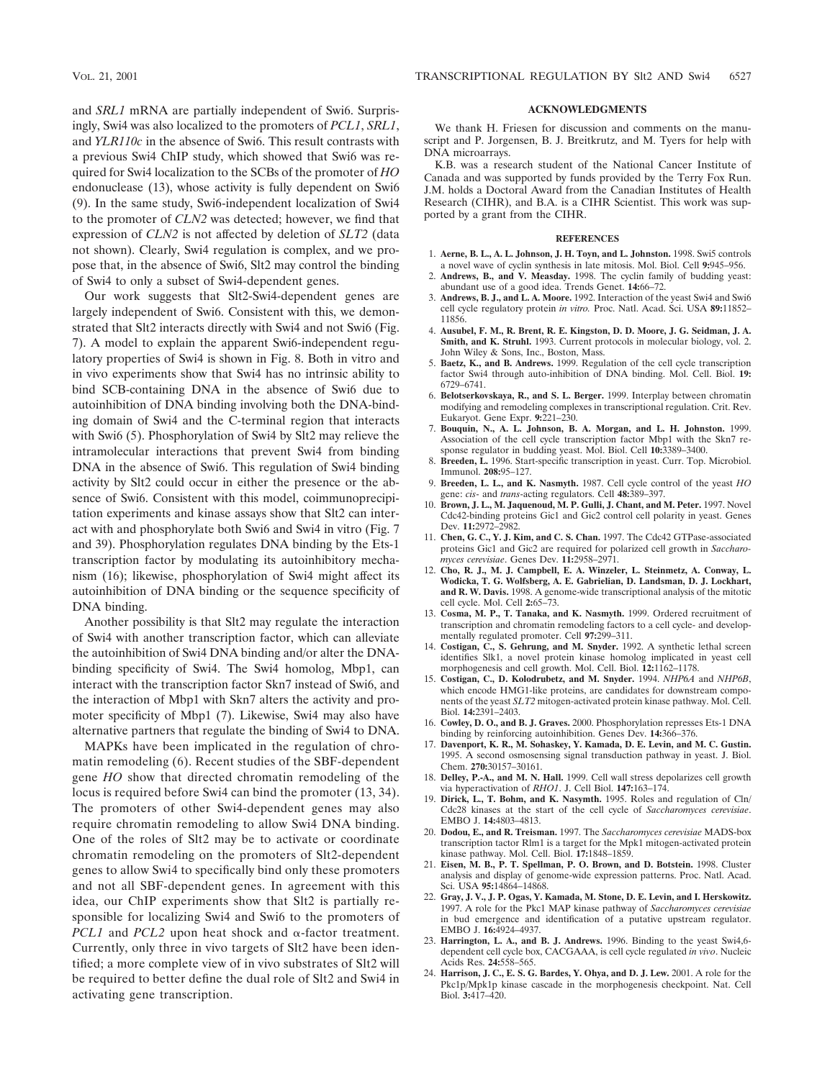and *SRL1* mRNA are partially independent of Swi6. Surprisingly, Swi4 was also localized to the promoters of *PCL1*, *SRL1*, and *YLR110c* in the absence of Swi6. This result contrasts with a previous Swi4 ChIP study, which showed that Swi6 was required for Swi4 localization to the SCBs of the promoter of *HO* endonuclease (13), whose activity is fully dependent on Swi6 (9). In the same study, Swi6-independent localization of Swi4 to the promoter of *CLN2* was detected; however, we find that expression of *CLN2* is not affected by deletion of *SLT2* (data not shown). Clearly, Swi4 regulation is complex, and we propose that, in the absence of Swi6, Slt2 may control the binding of Swi4 to only a subset of Swi4-dependent genes.

Our work suggests that Slt2-Swi4-dependent genes are largely independent of Swi6. Consistent with this, we demonstrated that Slt2 interacts directly with Swi4 and not Swi6 (Fig. 7). A model to explain the apparent Swi6-independent regulatory properties of Swi4 is shown in Fig. 8. Both in vitro and in vivo experiments show that Swi4 has no intrinsic ability to bind SCB-containing DNA in the absence of Swi6 due to autoinhibition of DNA binding involving both the DNA-binding domain of Swi4 and the C-terminal region that interacts with Swi6 (5). Phosphorylation of Swi4 by Slt2 may relieve the intramolecular interactions that prevent Swi4 from binding DNA in the absence of Swi6. This regulation of Swi4 binding activity by Slt2 could occur in either the presence or the absence of Swi6. Consistent with this model, coimmunoprecipitation experiments and kinase assays show that Slt2 can interact with and phosphorylate both Swi6 and Swi4 in vitro (Fig. 7 and 39). Phosphorylation regulates DNA binding by the Ets-1 transcription factor by modulating its autoinhibitory mechanism (16); likewise, phosphorylation of Swi4 might affect its autoinhibition of DNA binding or the sequence specificity of DNA binding.

Another possibility is that Slt2 may regulate the interaction of Swi4 with another transcription factor, which can alleviate the autoinhibition of Swi4 DNA binding and/or alter the DNAbinding specificity of Swi4. The Swi4 homolog, Mbp1, can interact with the transcription factor Skn7 instead of Swi6, and the interaction of Mbp1 with Skn7 alters the activity and promoter specificity of Mbp1 (7). Likewise, Swi4 may also have alternative partners that regulate the binding of Swi4 to DNA.

MAPKs have been implicated in the regulation of chromatin remodeling (6). Recent studies of the SBF-dependent gene *HO* show that directed chromatin remodeling of the locus is required before Swi4 can bind the promoter (13, 34). The promoters of other Swi4-dependent genes may also require chromatin remodeling to allow Swi4 DNA binding. One of the roles of Slt2 may be to activate or coordinate chromatin remodeling on the promoters of Slt2-dependent genes to allow Swi4 to specifically bind only these promoters and not all SBF-dependent genes. In agreement with this idea, our ChIP experiments show that Slt2 is partially responsible for localizing Swi4 and Swi6 to the promoters of *PCL1* and *PCL2* upon heat shock and  $\alpha$ -factor treatment. Currently, only three in vivo targets of Slt2 have been identified; a more complete view of in vivo substrates of Slt2 will be required to better define the dual role of Slt2 and Swi4 in activating gene transcription.

### **ACKNOWLEDGMENTS**

We thank H. Friesen for discussion and comments on the manuscript and P. Jorgensen, B. J. Breitkrutz, and M. Tyers for help with DNA microarrays.

K.B. was a research student of the National Cancer Institute of Canada and was supported by funds provided by the Terry Fox Run. J.M. holds a Doctoral Award from the Canadian Institutes of Health Research (CIHR), and B.A. is a CIHR Scientist. This work was supported by a grant from the CIHR.

#### **REFERENCES**

- 1. **Aerne, B. L., A. L. Johnson, J. H. Toyn, and L. Johnston.** 1998. Swi5 controls a novel wave of cyclin synthesis in late mitosis. Mol. Biol. Cell **9:**945–956.
- 2. **Andrews, B., and V. Measday.** 1998. The cyclin family of budding yeast: abundant use of a good idea. Trends Genet. **14:**66–72.
- 3. **Andrews, B. J., and L. A. Moore.** 1992. Interaction of the yeast Swi4 and Swi6 cell cycle regulatory protein *in vitro.* Proc. Natl. Acad. Sci. USA **89:**11852– 11856.
- 4. **Ausubel, F. M., R. Brent, R. E. Kingston, D. D. Moore, J. G. Seidman, J. A. Smith, and K. Struhl.** 1993. Current protocols in molecular biology, vol. 2. John Wiley & Sons, Inc., Boston, Mass.
- 5. **Baetz, K., and B. Andrews.** 1999. Regulation of the cell cycle transcription factor Swi4 through auto-inhibition of DNA binding. Mol. Cell. Biol. **19:** 6729–6741.
- 6. **Belotserkovskaya, R., and S. L. Berger.** 1999. Interplay between chromatin modifying and remodeling complexes in transcriptional regulation. Crit. Rev. Eukaryot. Gene Expr. **9:**221–230.
- 7. **Bouquin, N., A. L. Johnson, B. A. Morgan, and L. H. Johnston.** 1999. Association of the cell cycle transcription factor Mbp1 with the Skn7 response regulator in budding yeast. Mol. Biol. Cell **10:**3389–3400.
- 8. **Breeden, L.** 1996. Start-specific transcription in yeast. Curr. Top. Microbiol. Immunol. **208:**95–127.
- 9. **Breeden, L. L., and K. Nasmyth.** 1987. Cell cycle control of the yeast *HO* gene: *cis*- and *trans*-acting regulators. Cell **48:**389–397.
- 10. **Brown, J. L., M. Jaquenoud, M. P. Gulli, J. Chant, and M. Peter.** 1997. Novel Cdc42-binding proteins Gic1 and Gic2 control cell polarity in yeast. Genes Dev. **11:**2972–2982.
- 11. **Chen, G. C., Y. J. Kim, and C. S. Chan.** 1997. The Cdc42 GTPase-associated proteins Gic1 and Gic2 are required for polarized cell growth in *Saccharomyces cerevisiae*. Genes Dev. **11:**2958–2971.
- 12. **Cho, R. J., M. J. Campbell, E. A. Winzeler, L. Steinmetz, A. Conway, L. Wodicka, T. G. Wolfsberg, A. E. Gabrielian, D. Landsman, D. J. Lockhart, and R. W. Davis.** 1998. A genome-wide transcriptional analysis of the mitotic cell cycle. Mol. Cell **2:**65–73.
- 13. **Cosma, M. P., T. Tanaka, and K. Nasmyth.** 1999. Ordered recruitment of transcription and chromatin remodeling factors to a cell cycle- and developmentally regulated promoter. Cell **97:**299–311.
- 14. **Costigan, C., S. Gehrung, and M. Snyder.** 1992. A synthetic lethal screen identifies Slk1, a novel protein kinase homolog implicated in yeast cell morphogenesis and cell growth. Mol. Cell. Biol. **12:**1162–1178.
- 15. **Costigan, C., D. Kolodrubetz, and M. Snyder.** 1994. *NHP6A* and *NHP6B*, which encode HMG1-like proteins, are candidates for downstream components of the yeast *SLT2* mitogen-activated protein kinase pathway. Mol. Cell. Biol. **14:**2391–2403.
- 16. **Cowley, D. O., and B. J. Graves.** 2000. Phosphorylation represses Ets-1 DNA binding by reinforcing autoinhibition. Genes Dev. **14:**366–376.
- 17. **Davenport, K. R., M. Sohaskey, Y. Kamada, D. E. Levin, and M. C. Gustin.** 1995. A second osmosensing signal transduction pathway in yeast. J. Biol. Chem. **270:**30157–30161.
- 18. **Delley, P.-A., and M. N. Hall.** 1999. Cell wall stress depolarizes cell growth via hyperactivation of *RHO1*. J. Cell Biol. **147:**163–174.
- 19. **Dirick, L., T. Bohm, and K. Nasymth.** 1995. Roles and regulation of Cln/ Cdc28 kinases at the start of the cell cycle of *Saccharomyces cerevisiae*. EMBO J. **14:**4803–4813.
- 20. **Dodou, E., and R. Treisman.** 1997. The *Saccharomyces cerevisiae* MADS-box transcription tactor Rlm1 is a target for the Mpk1 mitogen-activated protein kinase pathway. Mol. Cell. Biol. **17:**1848–1859.
- 21. **Eisen, M. B., P. T. Spellman, P. O. Brown, and D. Botstein.** 1998. Cluster analysis and display of genome-wide expression patterns. Proc. Natl. Acad. Sci. USA **95:**14864–14868.
- 22. **Gray, J. V., J. P. Ogas, Y. Kamada, M. Stone, D. E. Levin, and I. Herskowitz.** 1997. A role for the Pkc1 MAP kinase pathway of *Saccharomyces cerevisiae* in bud emergence and identification of a putative upstream regulator. EMBO J. **16:**4924–4937.
- 23. **Harrington, L. A., and B. J. Andrews.** 1996. Binding to the yeast Swi4,6 dependent cell cycle box, CACGAAA, is cell cycle regulated *in vivo*. Nucleic Acids Res. **24:**558–565.
- 24. **Harrison, J. C., E. S. G. Bardes, Y. Ohya, and D. J. Lew.** 2001. A role for the Pkc1p/Mpk1p kinase cascade in the morphogenesis checkpoint. Nat. Cell Biol. **3:**417–420.